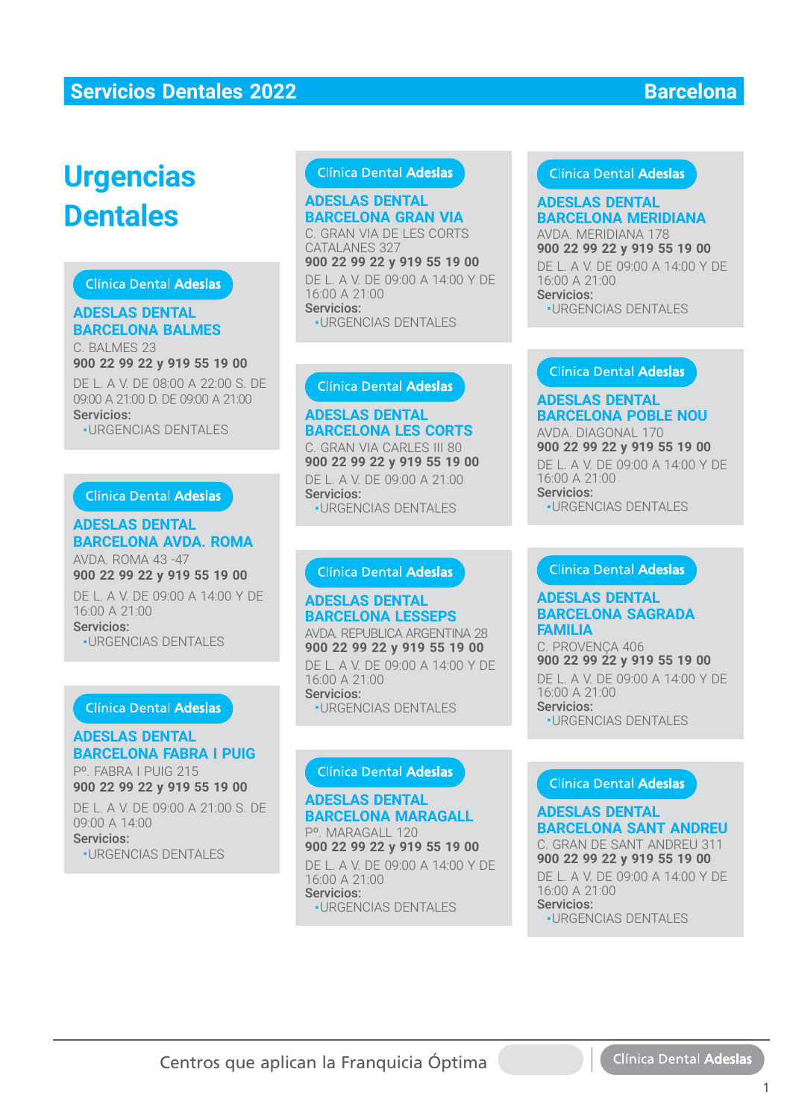# **Urgencias Dentales**

# **Clínica Dental Adeslas**

### **ADESLAS DENTAL BARCELONA BALMES**

C. BALMES 23 **900 22 99 22 y 919 55 19 00** DE L. A V. DE 08:00 A 22:00 S. DE 09:00 A 21:00 D. DE 09:00 A 21:00 Servicios: ■ URGENCIAS DENTALES URGENCIAS DENTALES

#### Clínica Dental Adeslas

#### **ADESLAS DENTAL BARCELONA AVDA. ROMA BARCELONA AVDA. ROMA**

AVDA. ROMA 43 -47 AVDA. ROMA 43 -47**900 22 99 22 y 919 55 19 00** DE L. A V. DE 09:00 A 14:00 Y DE 16:00 A 21:00 Servicios:

■ URGENCIAS DENTALES

#### **Clínica Dental Adeslas**

# **ADESLAS DENTAL BARCELONA FABRA I PUIG**

Pº. FABRA I PUIG 215 **900 22 99 22 y 919 55 19 00 900 22 99 22 y 919 55 19 00**

DE L. A V. DE 09:00 A 21:00 S. DE DE L. A V. DE 09:00 A 21:00 S. DE09:00 A 14:00 Servicios:

■ URGENCIAS DENTALES

### Clínica Dental Adeslas

# **ADESLAS DENTAL BARCELONA GRAN VIA ADESLAS DENTALBARCELONA GRAN VIA**

C. GRAN VIA DE LES CORTS C. GRAN VIA DE LES CORTSCATALANES 327 **900 22 99 22 y 919 55 19 00 900 22 99 22 y 919 55 19 00**

DE L. A V. DE 09:00 A 14:00 Y DE DE L. A V. DE 09:00 A 14:00 Y DE 16:00 A 21:00 16:00 A 21:00 Servicios: Servicios:

■ URGENCIAS DENTALES URGENCIAS DENTALES

#### **ADESLAS DENTAL BARCELONA LES CORTS BARCELONA LES CORTS**C. GRAN VIA CARLES III 80

**900 22 99 22 y 919 55 19 00** DE L. A V. DE 09:00 A 21:00 Servicios: Servicios:■ URGENCIAS DENTALES

#### **ADESLAS DENTAL ADESLAS DENTALBARCELONA LESSEPS**

AVDA. REPUBLICA ARGENTINA 28 AVDA. REPUBLICA ARGENTINA 28**900 22 99 22 y 919 55 19 00** DE L. A V. DE 09:00 A 14:00 Y DE DE L. A V. DE 09:00 A 14:00 Y DE16:00 A 21:00 Servicios: Servicios:■ URGENCIAS DENTALES **DESLAS DENTALES**<br>
CERAN VIA ADESLAS DENTAL<br>
CRAN VIA BARCELONA MERIDIANA 17<br>
SARCELONA GRAN VIA BARCELONA MERIDIANA 17<br>
DE L. A V. DE 09:00 A 14:00 Y DE<br>
L. A V. DE 09:00 A 21:00<br>
URGENCIAS DENTALES<br>
Clinica Dental Adesla

# **ADESLAS DENTAL BARCELONA MARAGALL BARCELONA MARAGALL**

Pº. MARAGALL 120 Pº. MARAGALL 120**900 22 99 22 y 919 55 19 00** DE L. A V. DE 09:00 A 14:00 Y DE 16:00 A 21:00 16:00 A 21:00Servicios: -<br>-URGENCIAS DENTALES

### Clínica Dental Adeslas

# **BARCELONA MERIDIANA**

AVDA. MERIDIANA 178 **900 22 99 22 y 919 55 19 00** DE L. A V. DE 09:00 A 14:00 Y DE 16:00 A 21:00 Servicios:

■ URGENCIAS DENTALES

### **ADESLAS DENTAL BARCELONA POBLE NOU**

AVDA. DIAGONAL 170 **900 22 99 22 y 919 55 19 00** DE L. A V. DE 09:00 A 14:00 Y DE 16:00 A 21:00 **900 22 99 22 y 919 55 19 00**<br>DE L. A V. DE 09:00 A 14:00 Y<br>16:00 A 21:00<br>Servicios:<br>•URGENCIAS DENTALES<br>**Clínica Dental Adeslas**<br>**ADESLAS DENTAL** 

Servicios: ■ URGENCIAS DENTALES

# **BARCELONA SAGRADA FAMILIA**

C. PROVENÇA 406 **900 22 99 22 y 919 55 19 00** DE L. A V. DE 09:00 A 14:00 Y DE 16:00 A 21:00 Servicios: ■ URGENCIAS DENTALES

#### **ADESLAS DENTAL BARCELONA SANT ANDREU**

C. GRAN DE SANT ANDREU 311 **900 22 99 22 y 919 55 19 00** DE L. A V. DE 09:00 A 14:00 Y DE 16:00 A 21:00 Servicios: ■ URGENCIAS DENTALES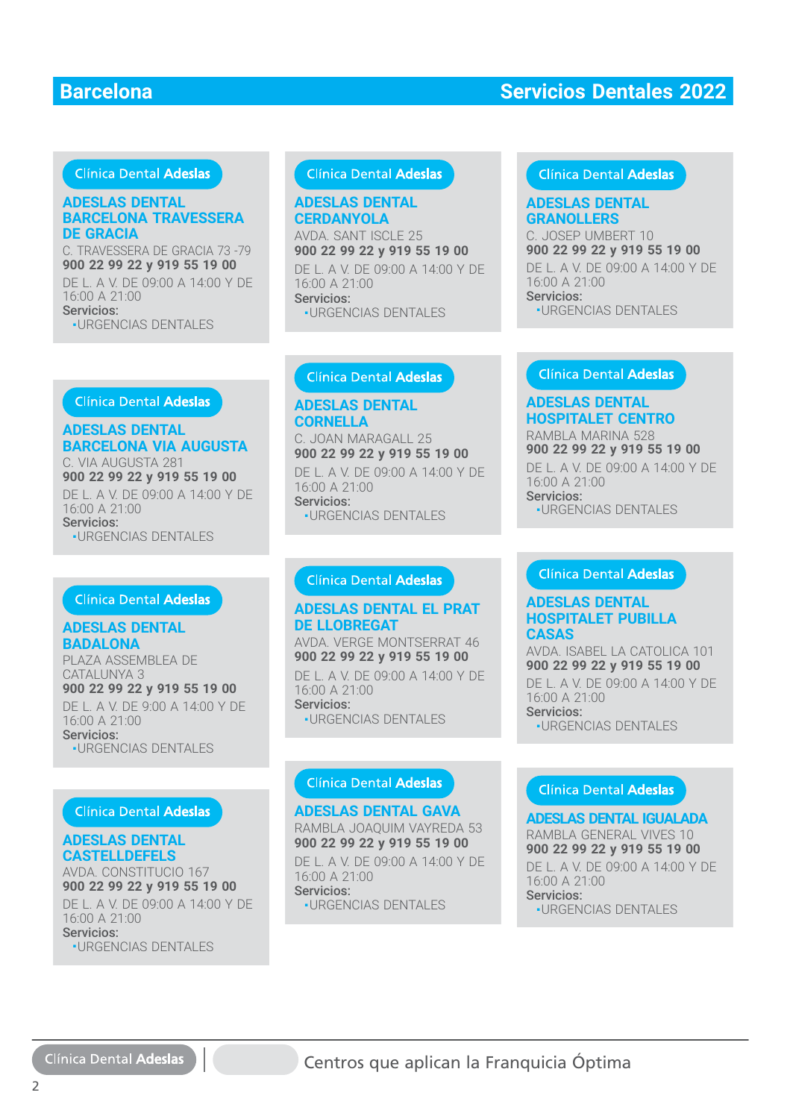# Clínica Dental Adeslas

#### **ADESLAS DENTAL BARCELONA TRAVESSERA DE GRACIA**

C. TRAVESSERA DE GRACIA 73 -79 **900 22 99 22 y 919 55 19 00** DE L. A V. DE 09:00 A 14:00 Y DE

16:00 A 21:00 Servicios<sup>.</sup> ■ URGENCIAS DENTALES **Clínica Dental Adeslas** 

#### **ADESLAS DENTAL CERDANYOLA**

AVDA. SANT ISCLE 25 AVDA. SANT ISCLE 25**900 22 99 22 y 919 55 19 00** DE L. A V. DE 09:00 A 14:00 Y DE 16:00 A 21:00 Servicios: Servicios:■ URGENCIAS DENTALES **DESLAS DENTAL**<br> **ADESLAS DENTAL 6RANOLLERS**<br>
C. JOSEP UMBERT 10<br>
C. JOSEP UMBERT 10<br>
SCANOLLERS<br>
C. JOSEP UMBERT 10<br>
SCANOLLERS<br>
C. JOSEP UMBERT 10<br>
DCAN MARGAIL 25<br>
C. JOSEP UMBERT 10<br>
Servicios:<br>
URGENCIAS DENTALES<br>
CLI

#### Clínica Dental Adeslas

#### **GRANOLLERS ADESLAS DENTAL**

**ADESLAS DENTAL ADESLAS DENTAL HOSPITALET CENTRO** RAMBLA MARINA 528 RAMBLA MARINA 528**900 22 99 22 y 919 55 19 00** DE L. A V. DE 09:00 A 14:00 Y DE DE L. A V. DE 09:00 A 14:00 Y DE

16:00 A 21:00 Servicios: Servicios:

C. JOSEP UMBERT 10 **900 22 99 22 y 919 55 19 00 900 22 99 22 y 919 55 19 00**DE L. A V. DE 09:00 A 14:00 Y DE DE L. A V. DE 09:00 A 14:00 Y DE16:00 A 21:00 Servicios: Servicios:■ URGENCIAS DENTALES

#### Clínica Dental Adeslas

#### **ADESLAS DENTAL BARCELONA VIA AUGUSTA**

C. VIA AUGUSTA 281 **900 22 99 22 y 919 55 19 00** DE L. A V. DE 09:00 A 14:00 Y DE 16:00 A 21:00 Servicios: ■ URGENCIAS DENTALES

#### Clínica Dental Adeslas

### **ADESLAS DENTAL BADALONA**

PLAZA ASSEMBLEA DE CATALUNYA 3

**900 22 99 22 y 919 55 19 00** DE L. A V. DE 9:00 A 14:00 Y DE 16:00 A 21:00 Servicios: ■ URGENCIAS DENTALES

#### Clínica Dental Adeslas

### **ADESLAS DENTAL CASTELLDEFELS**

AVDA. CONSTITUCIO 167 **900 22 99 22 y 919 55 19 00** DE L. A V. DE 09:00 A 14:00 Y DE 16:00 A 21:00 Servicios:

■ URGENCIAS DENTALES

#### **ADESLAS DENTAL CORNELLA**

C. JOAN MARAGALL 25 C. JOAN MARAGALL 25**900 22 99 22 y 919 55 19 00**

DE L. A V. DE 09:00 A 14:00 Y DE 16:00 A 21:00 Servicios: Servicios:■ URGENCIAS DENTALES

#### **ADESLAS DENTAL EL PRAT DE LLOBREGAT**

AVDA. VERGE MONTSERRAT 46 AVDA. VERGE MONTSERRAT 46**900 22 99 22 y 919 55 19 00**

DE L. A V. DE 09:00 A 14:00 Y DE 16:00 A 21:00 Servicios:

■ URGENCIAS DENTALES

#### **ADESLAS DENTAL GAVA**

RAMBLA JOAQUIM VAYREDA 53 RAMBLA JOAQUIM VAYREDA 53**900 22 99 22 y 919 55 19 00**

DE L. A V. DE 09:00 A 14:00 Y DE 16:00 A 21:00 Servicios:

■ URGENCIAS DENTALES

■ URGENCIAS DENTALES

#### **ADESLAS DENTAL HOSPITALET PUBILLA ADESLAS DENTALHOSPITALET PUBILLA CASAS**

AVDA. ISABEL LA CATOLICA 101 **900 22 99 22 y 919 55 19 00 900 22 99 22 y 919 55 19 00**DE L. A V. DE 09:00 A 14:00 Y DE DE L. A V. DE 09:00 A 14:00 Y DE16:00 A 21:00 Servicios: Servicios:■ URGENCIAS DENTALES

#### **ADESLAS DENTAL IGUALADA ADESLAS DENTAL IGUALADA**RAMBLA GENERAL VIVES 10 **900 22 99 22 y 919 55 19 00**

DE L. A V. DE 09:00 A 14:00 Y DE 16:00 A 21:00 16:00 A 21:00Servicios: ■ URGENCIAS DENTALES ■URGENCIAS DENTALES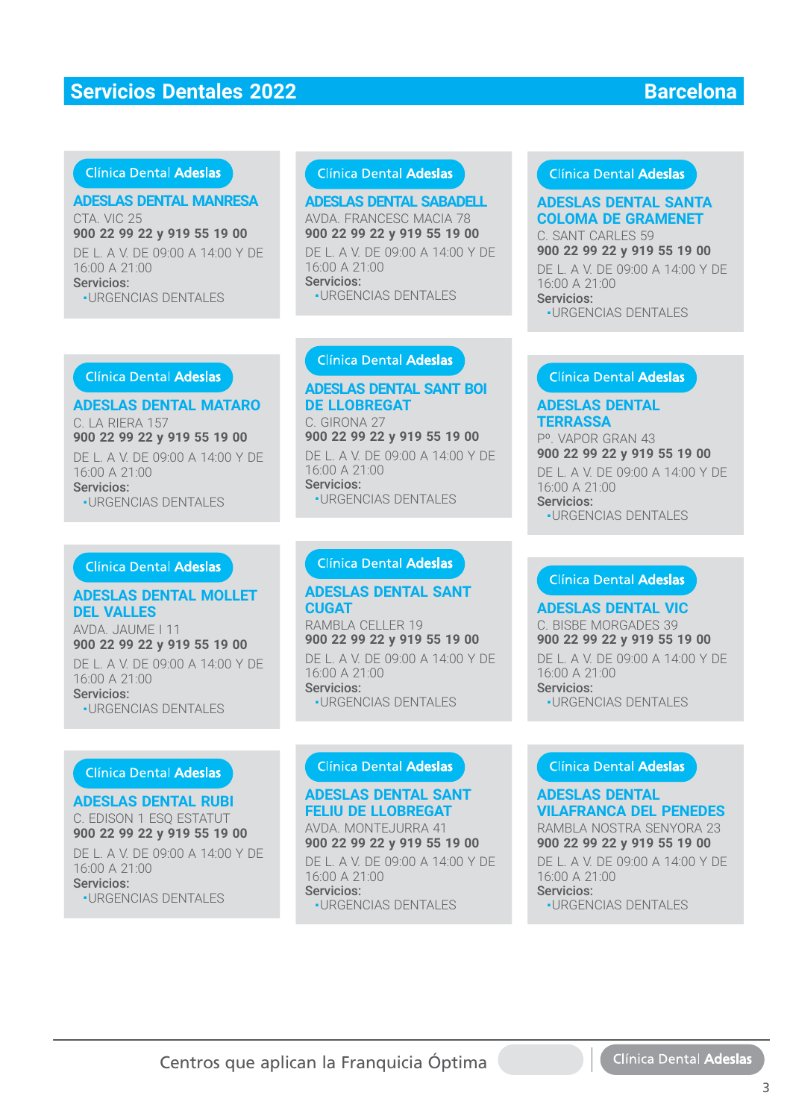### Clínica Dental Adeslas

### **ADESLAS DENTAL MANRESA**

CTA. VIC 25 CTA. VIC 25**900 22 99 22 y 919 55 19 00 900 22 99 22 y 919 55 19 00**DE L. A V. DE 09:00 A 14:00 Y DE 16:00 A 21:00 Servicios: ■ URGENCIAS DENTALES URGENCIAS DENTALES

#### Clínica Dental Adeslas

#### **ADESLAS DENTAL SABADELL**

AVDA. FRANCESC MACIA 78 AVDA. FRANCESC MACIA 78**900 22 99 22 y 919 55 19 00** DE L. A V. DE 09:00 A 14:00 Y DE 16:00 A 21:00 Servicios: **-URGENCIAS DENTALES** 

### Clínica Dental Adeslas

# **ADESLAS DENTAL MATARO**

C. LA RIERA 157 **900 22 99 22 y 919 55 19 00** DE L. A V. DE 09:00 A 14:00 Y DE<br>16:00 A 21:00 16:00 A 21:00 Servicios: Servicios:•URGENCIAS DENTALES

#### Clínica Dental Adeslas

#### **ADESLAS DENTAL MOLLET DEL VALLES**

AVDA. JAUME I 11 **900 22 99 22 y 919 55 19 00** DE L. A V. DE 09:00 A 14:00 Y DE 16:00 A 21:00 Servicios: ■ URGENCIAS DENTALES

#### **Clínica Dental Adeslas**

#### **ADESLAS DENTAL RUBI**

C. EDISON 1 ESQ ESTATUT C. EDISON 1 ESQ ESTATUT**900 22 99 22 y 919 55 19 00 900 22 99 22 y 919 55 19 00**DE L. A V. DE 09:00 A 14:00 Y DE 16:00 A 21:00 Servicios: ■ URGENCIAS DENTALES

### **ADESLAS DENTAL SANT BOI DE LLOBREGAT**

C. GIRONA 27 **900 22 99 22 y 919 55 19 00** DE L. A V. DE 09:00 A 14:00 Y DE 16:00 A 21:00 Servicios: Servicios:■ URGENCIAS DENTALES

#### **ADESLAS DENTAL SANT CUGAT**

RAMBLA CELLER 19 RAMBLA CELLER 19**900 22 99 22 y 919 55 19 00** DE L. A V. DE 09:00 A 14:00 Y DE

16:00 A 21:00 Servicios: Servicios:■ URGENCIAS DENTALES

# **ADESLAS DENTAL SANT FELIU DE LLOBREGAT**

AVDA. MONTEJURRA 41 AVDA. MONTEJURRA 41**900 22 99 22 y 919 55 19 00**

DE L. A V. DE 09:00 A 14:00 Y DE 16:00 A 21:00 Servicios: ■ URGENCIAS DENTALES

#### Clínica Dental Adeslas

# **COLOMA DE GRAMENET**

C. SANT CARLES 59 C. SANT CARLES 59**900 22 99 22 y 919 55 19 00** DE L. A V. DE 09:00 A 14:00 Y DE 16:00 A 21:00 Servicios: Servicios:

■ URGENCIAS DENTALES

#### **ADESLAS DENTAL TERRASSA**

Pº. VAPOR GRAN 43 Pº. VAPOR GRAN 43**900 22 99 22 y 919 55 19 00** DE L. A V. DE 09:00 A 14:00 Y DE 16:00 A 21:00 Servicios: Servicios:

■ URGENCIAS DENTALES

**ADESLAS DENTAL SANTE SPACE TREAT ANCHAL SANTAL SANTAL SANTAL SANTAL SANTAL SANTAL SANTAL SANTAL SANTAL SANTAL SANTAL SANTAL SANTAL SANTAL SANTAL SANTAL SANTAL SANTAL SANTAL SANTAL SANTAL SANTAL SANTAL SANTAL SANTAL SANTAL ADESLAS DENTAL VIC** C. BISBE MORGADES 39 C. BISBE MORGADES 39**900 22 99 22 y 919 55 19 00** DE L. A V. DE 09:00 A 14:00 Y DE 16:00 A 21:00 Servicios: **-URGENCIAS DENTALES** 

#### **ADESLAS DENTAL VILAFRANCA DEL PENEDES** RAMBLA NOSTRA SENYORA 23 RAMBLA NOSTRA SENYORA 23

**900 22 99 22 y 919 55 19 00**

DE L. A V. DE 09:00 A 14:00 Y DE 16:00 A 21:00 Servicios: Servicios:

■ URGENCIAS DENTALES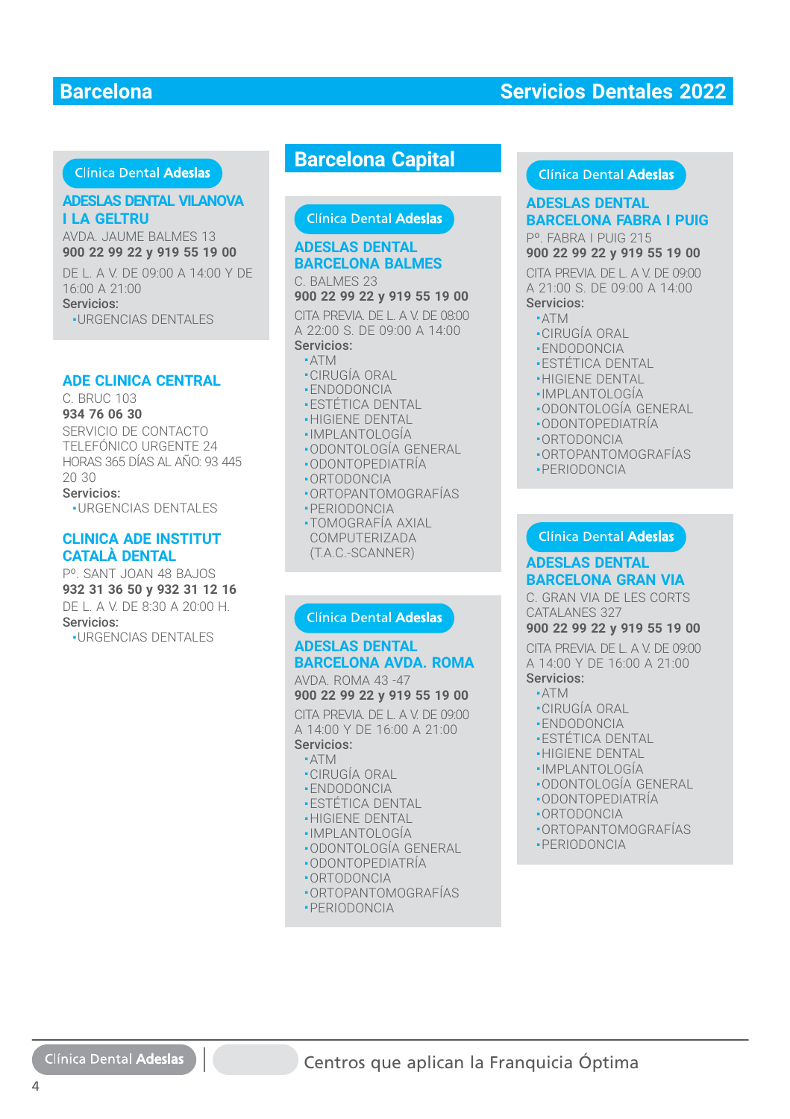#### Clínica Dental Adeslas

#### **ADESLAS DENTAL VILANOVA I LA GELTRU**

AVDA. JAUME BALMES 13 **900 22 99 22 y 919 55 19 00 900 22 99 22 y 919 55 19 00**DE L. A V. DE 09:00 A 14:00 Y DE<br>16:00 A 21:00 16:00 A 21:00 Servicios: ■ URGENCIAS DENTALES

#### **ADE CLINICA CENTRAL**

C. BRUC 103 **934 76 06 30**

SERVICIO DE CONTACTO TELEFÓNICO URGENTE 24 HORAS 365 DÍAS AL AÑO: 93 445 20 30 Servicios:

■ URGENCIAS DENTALES

#### **CLINICA ADE INSTITUT CATALÀ DENTAL**

Pº. SANT JOAN 48 BAJOS **932 31 36 50 y 932 31 12 16** DE L. A V. DE 8:30 A 20:00 H. Servicios:

■ URGENCIAS DENTALES

# **Barcelona Capital**

Clínica Dental Adeslas

# **ADESLAS DENTAL BARCELONA BALMES**

C. BALMES 23 C. BALMES 23**900 22 99 22 y 919 55 19 00**

CITA PREVIA. DE L. A V. DE 08:00 A 22:00 S. DE 09:00 A 14:00 Servicios: Servicios:

#### ■ ATM ■ATM

- •CIRUGÍA ORAL
- ENDODONCIA
- **-ESTÉTICA DENTAL**
- HIGIENE DENTAL
- IMPLANTOLOGÍA
- ODONTOLOGÍA GENERAL ֦
- ODONTOPEDIATRÍA
- ORTODONCIA ORTODONCIA
- ORTOPANTOMOGRAFÍAS ■ORTOPANTOMOGRAFÍAS■ PERIODONCIA ■
- TOMOGRAFÍA AXIAL COMPUTERIZADA (T.A.C.-SCANNER)

#### Clínica Dental Adeslas

#### **ADESLAS DENTAL BARCELONA AVDA. ROMA** AVDA. ROMA 43 -47

**900 22 99 22 y 919 55 19 00**

CITA PREVIA. DE L. A V. DE 09:00 A 14:00 Y DE 16:00 A 21:00 Servicios:

#### ■ ATM

- CIRUGÍA ORAL
- ENDODONCIA
- •ESTÉTICA DENTAL
- HIGIENE DENTAL
- IMPLANTOLOGÍA
- ODONTOLOGÍA GENERAL
- ODONTOPEDIATRÍA
- ORTODONCIA
- ORTOPANTOMOGRAFÍAS
- PERIODONCIA

#### Clínica Dental Adeslas

#### **ADESLAS DENTAL ADESLAS DENTAL BARCELONA FABRA I PUIG BARCELONA FABRA I PUIG** Pº. FABRA I PUIG 215

**900 22 99 22 y 919 55 19 00**

CITA PREVIA. DE L. A V. DE 09:00 A 21:00 S. DE 09:00 A 14:00 Servicios:

#### ■ ATM

- CIRUGÍA ORAL
- ENDODONCIA
- ESTÉTICA DENTAL
- **-HIGIENE DENTAL**
- IMPLANTOLOGÍA ■
- · ODONTOLOGÍA GENERAL
- 
- ODONTOPEDIATRÍA ■ODONTOPEDIATRÍA
- ORTODONCIA ■ORTODONCIA
- ORTOPANTOMOGRAFÍAS ■ORTOPANTOMOGRAFÍAS
- PERIODONCIA ■PERIODONCIA

#### Clínica Dental Adeslas

#### **ADESLAS DENTAL BARCELONA GRAN VIA**

C. GRAN VIA DE LES CORTS CATALANES 327

#### **900 22 99 22 y 919 55 19 00**

CITA PREVIA. DE L. A V. DE 09:00 A 14:00 Y DE 16:00 A 21:00 Servicios:

#### ■ ATM

- CIRUGÍA ORAL
- ENDODONCIA
- ESTÉTICA DENTAL
- HIGIENE DENTAL
- IMPLANTOLOGÍA
- ODONTOLOGÍA GENERAL
- ODONTOPEDIATRÍA
- ORTODONCIA
- 
- ORTOPANTOMOGRAFÍAS
- PERIODONCIA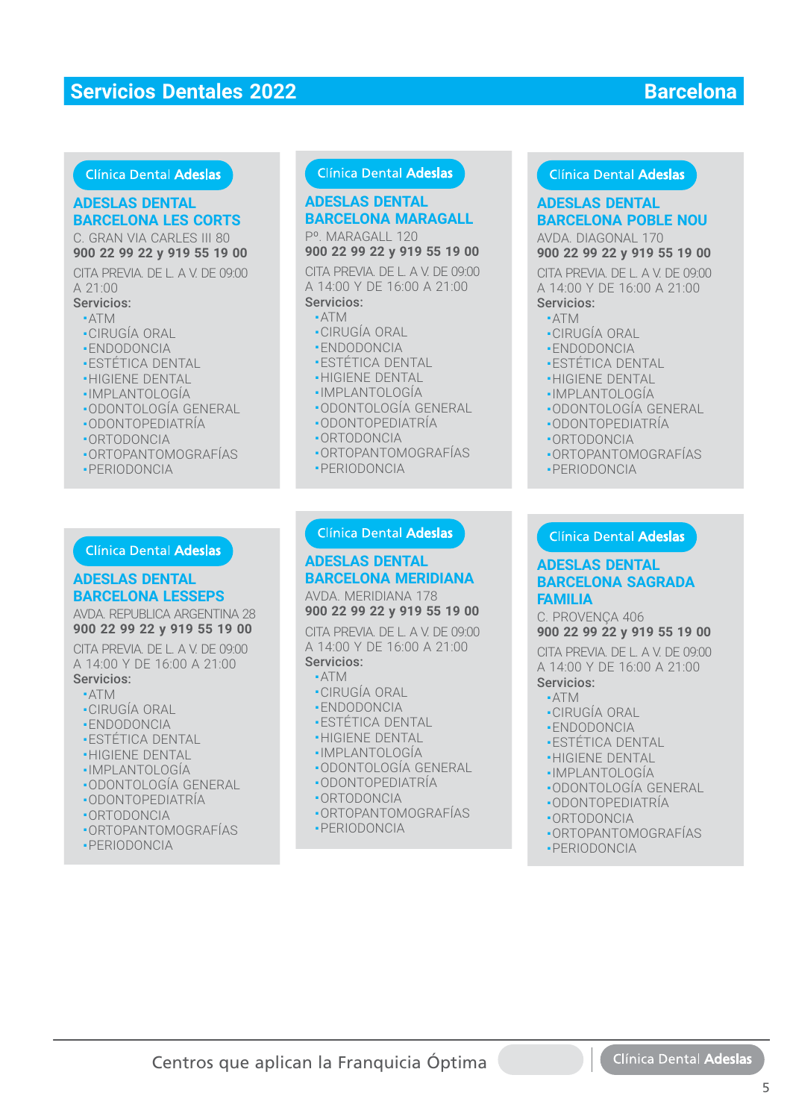#### Clínica Dental Adeslas

# **ADESLAS DENTAL ADESLAS DENTAL BARCELONA LES CORTS BARCELONA LES CORTS**

C. GRAN VIA CARLES III 80 **900 22 99 22 y 919 55 19 00**

CITA PREVIA. DE L. A V. DE 09:00 A 21:00

- Servicios: ■ ATM
- 
- CIRUGÍA ORAL ■ ENDODONCIA
- ESTÉTICA DENTAL
- 
- **-HIGIENE DENTAL** -IMPLANTOLOGÍA
- 
- ODONTOLOGÍA GENERAL ■
- ODONTOPEDIATRÍA ■ODONTOPEDIATRÍA
- ORTODONCIA ■ORTODONCIA
- ORTOPANTOMOGRAFÍAS ■ORTOPANTOMOGRAFÍAS
- PERIODONCIA ■PERIODONCIA

# **ADESLAS DENTAL BARCELONA LESSEPS BARCELONA LESSEPS**

AVDA. REPUBLICA ARGENTINA 28 **900 22 99 22 y 919 55 19 00**

CITA PREVIA. DE L. A V. DE 09:00 A 14:00 Y DE 16:00 A 21:00 Servicios: **DESLAS DENTAL**<br> **ADESLAS DENTAL**<br> **ARCELONA LES CORTS**<br> **BARCELONA MARCALL 120**<br> **DO 22 99 22 y 919 55 19 00 900 22 99 22 y 919 19**<br>
TA PREVIAL DE LA V. DE 09:00 0174 PREVIA DE LA V.<br>
21:00 0174 PEAN DE LA V. DE 09:00 017

- ATM
- CIRUGÍA ORAL
- ENDODONCIA
- ESTÉTICA DENTAL
- HIGIENE DENTAL
- IMPLANTOLOGÍA
- •ODONTOLOGÍA GENERAL
- ODONTOPEDIATRÍA ■
- ORTODONCIA ■
- ORTOPANTOMOGRAFÍAS ■
- PERIODONCIA

## Clínica Dental Adeslas

# **BARCELONA MARAGALL**

Pº. MARAGALL 120 **900 22 99 22 y 919 55 19 00**

CITA PREVIA. DE L. A V. DE 09:00 A 14:00 Y DE 16:00 A 21:00 Servicios: **DESLAS DENTAL**<br> **ADESLAS DENTAL**<br> **ARRAGALL 120**<br> **ADESLAS DENTAL**<br> **BARCELONA MARAGALL BARCELONA POBI**<br>
(14:00 Y DE 16:00 A 21:00<br>
(14:00 Y DE 16:00 A 21:00<br>
(14:00 Y DE 16:00 A 21:00<br>
(14:00 Y DE 16:00 A 21:00<br>
A 4:00 Y

#### ■ ATM

- -ATM<br>•CIRUGÍA ORAL<br>•ENDODONCIA
- ENDODONCIA
- $\textcolor{red}{\bullet}$  ESTETICA DENTAL
- HIGIENE DENTAL
- IMPLANTOLOGÍA
- ODONTOLOGÍA GENERAL
- ODONTOPEDIATRÍA
- ORTODONCIA
- ORTOPANTOMOGRAFÍAS ■ PERIODONCIA
- 

#### **ADESLAS DENTAL BARCELONA MERIDIANA BARCELONA MERIDIANA**

AVDA. MERIDIANA 178 **900 22 99 22 y 919 55 19 00**

CITA PREVIA. DE L. A V. DE 09:00 A 14:00 Y DE 16:00 A 21:00 Servicios:

- ATM
- CIRUGÍA ORAL
- ENDODONCIA
- •ENDODONCIA<br>•ESTÉTICA DENTAL<br>•HIGIENE DENTAL
- **-HIGIENE DENTAL**
- IMPLANTOLOGÍA ■IMPLANTOLOGÍA
- ODONTOLOGÍA GENERAL ■ODONTOLOGÍA GENERAL
- ODONTOPEDIATRÍA ■ODONTOPEDIATRÍA
- ORTODONCIA ■ORTODONCIA
- ORTOPANTOMOGRAFÍAS ORTOPANTOMOGRAFÍAS

# ■ PERIODONCIA

#### Clínica Dental Adeslas

# **BARCELONA POBLE NOU BARCELONA POBLE NOU ADESLAS DENTAL**

AVDA. DIAGONAL 170 **900 22 99 22 y 919 55 19 00**

CITA PREVIA. DE L. A V. DE 09:00 A 14:00 Y DE 16:00 A 21:00 Servicios:

### ■ ATM

- CIRUGÍA ORAL
- ENDODONCIA
- ESTÉTICA DENTAL
- **-HIGIENE DENTAL**
- ·IMPLANTOLOGÍA
- ODONTOLOGÍA GENERAL ■
- ODONTOPEDIATRÍA ■ODONTOPEDIATRÍA
- ORTODONCIA ■ORTODONCIA
- ORTOPANTOMOGRAFÍAS ■ORTOPANTOMOGRAFÍAS
- PERIODONCIA ■PERIODONCIA

#### **ADESLAS DENTAL ADESLAS DENTAL BARCELONA SAGRADA BARCELONA SAGRADA FAMILIA FAMILIA**

C. PROVENÇA 406 C. PROVENÇA 406

**900 22 99 22 y 919 55 19 00 900 22 99 22 y 919 55 19 00**

CITA PREVIA. DE L. A V. DE 09:00 CITA PREVIA. DE L. A V. DE 09:00 A 14:00 Y DE 16:00 A 21:00 A 14:00 Y DE 16:00 A 21:00

#### Servicios: Servicios:

- ATM ATM
- CIRUGÍA ORAL CIRUGÍA ORAL
- ENDODONCIA ENDODONCIA
- ESTÉTICA DENTAL ESTÉTICA DENTAL
- HIGIENE DENTAL HIGIENE DENTAL
- IMPLANTOLOGÍA IMPLANTOLOGÍA
- ODONTOLOGÍA GENERAL ODONTOLOGÍA GENERAL
- ODONTOPEDIATRÍA ODONTOPEDIATRÍA
- ORTODONCIA ORTODONCIA
- ORTOPANTOMOGRAFÍAS ORTOPANTOMOGRAFÍAS
- PERIODONCIA PERIODONCIA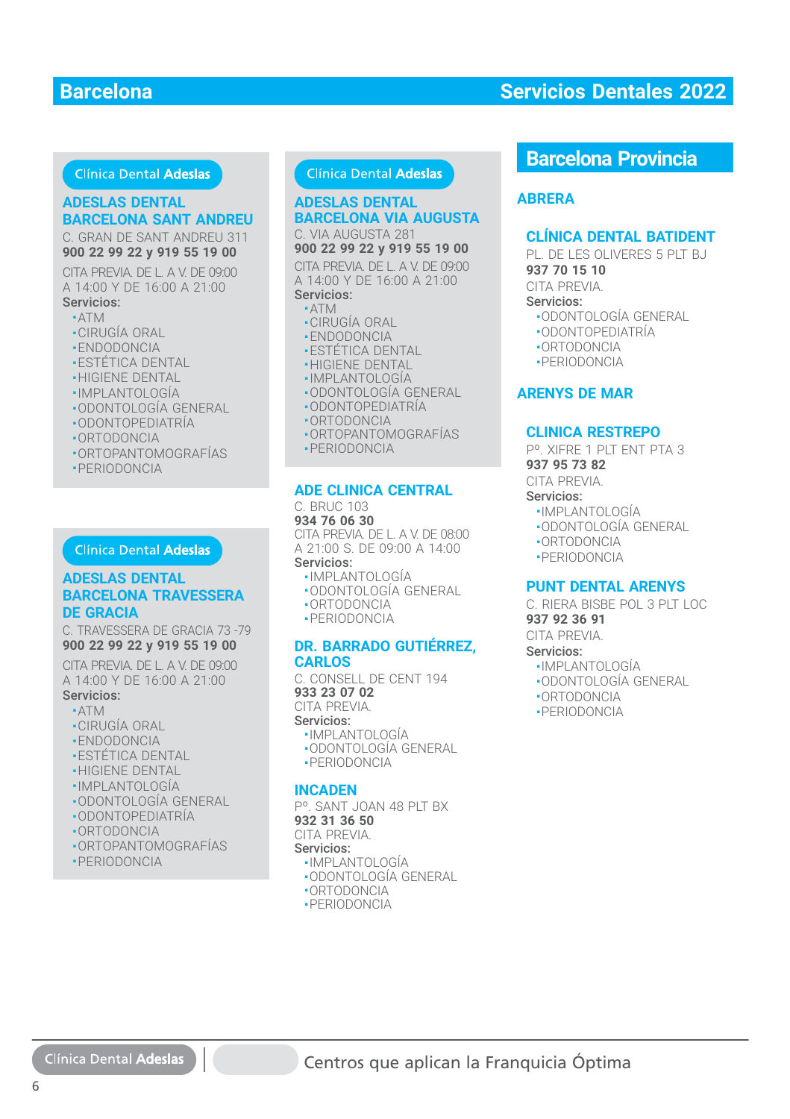### Clínica Dental Adeslas

#### **ADESLAS DENTAL**

# **BARCELONA SANT ANDREU**

C. GRAN DE SANT ANDREU 311 **900 22 99 22 y 919 55 19 00**

CITA PREVIA. DE L. A V. DE 09:00 A 14:00 Y DE 16:00 A 21:00 Servicios:

#### ■ ATM

- CIRUGÍA ORAL
- ENDODONCIA
- ESTÉTICA DENTAL
- HIGIENE DENTAL
- IMPLANTOLOGÍA
- ODONTOLOGÍA GENERAL
- ODONTOPEDIATRÍA
- ORTODONCIA
- ORTOPANTOMOGRAFÍAS
- PERIODONCIA

#### Clínica Dental Adeslas

#### **ADESLAS DENTAL BARCELONA TRAVESSERA ADESLAS DENTALBARCELONA TRAVESSERA DE GRACIA**

C. TRAVESSERA DE GRACIA 73 -79 C. TRAVESSERA DE GRACIA 73 -79 **900 22 99 22 y 919 55 19 00 900 22 99 22 y 919 55 19 00**

CITA PREVIA. DE L. A V. DE 09:00 CITA PREVIA. DE L. A V. DE 09:00A 14:00 Y DE 16:00 A 21:00A 14:00 Y DE 16:00 A 21:00

- Servicios: Servicios:
- ATM ATM
- CIRUGÍA ORAL CIRUGÍA ORAL
- ENDODONCIA ENDODONCIA
- ESTÉTICA DENTAL ESTÉTICA DENTAL
- HIGIENE DENTAL HIGIENE DENTAL
- IMPLANTOLOGÍA IMPLANTOLOGÍA
- ODONTOLOGÍA GENERAL ODONTOLOGÍA GENERAL
- ODONTOPEDIATRÍA ODONTOPEDIATRÍA
- ORTODONCIA ORTODONCIA
- ORTOPANTOMOGRAFÍAS ORTOPANTOMOGRAFÍAS
- PERIODONCIA PERIODONCIA

#### Clínica Dental Adeslas

#### **ADESLAS DENTAL BARCELONA VIA AUGUSTA** C. VIA AUGUSTA 281

**900 22 99 22 y 919 55 19 00**

CITA PREVIA. DE L. A V. DE 09:00 A 14:00 Y DE 16:00 A 21:00 Servicios:

#### ■ ATM

- CIRUGÍA ORAL
- ENDODONCIA
- ESTÉTICA DENTAL
- HIGIENE DENTAL
- IMPLANTOLOGÍA
- ODONTOLOGÍA GENERAL
- ODONTOPEDIATRÍA
- ORTODONCIA
- ORTOPANTOMOGRAFÍAS
- PERIODONCIA

#### **ADE CLINICA CENTRAL**

C. BRUC 103 **934 76 06 30** CITA PREVIA. DE L. A V. DE 08:00 A 21:00 S. DE 09:00 A 14:00 Servicios:

## ■ IMPLANTOLOGÍA

- ODONTOLOGÍA GENERAL
- ORTODONCIA
- PERIODONCIA

#### **DR. BARRADO GUTIÉRREZ, CARLOS**

C. CONSELL DE CENT 194 **933 23 07 02** CITA PREVIA. Servicios:

- IMPLANTOLOGÍA
- ODONTOLOGÍA GENERAL ■ PERIODONCIA

#### **INCADEN**

Pº. SANT JOAN 48 PLT BX **932 31 36 50** CITA PREVIA. Servicios: ■ IMPLANTOLOGÍA

- ODONTOLOGÍA GENERAL
- ORTODONCIA
- PERIODONCIA

# **Barcelona Provincia**

#### **ABRERA**

#### **CLÍNICA DENTAL BATIDENT**

PL. DE LES OLIVERES 5 PLT BJ. **937 70 15 10** CITA PREVIA.

#### Servicios:

- ODONTOLOGÍA GENERAL
- ODONTOPEDIATRÍA
- ORTODONCIA
- PERIODONCIA

#### **ARENYS DE MAR**

#### **CLINICA RESTREPO**

Pº. XIFRE 1 PLT ENT PTA 3 **937 95 73 82**

CITA PREVIA.

#### Servicios:

- IMPLANTOLOGÍA
- ODONTOLOGÍA GENERAL
- ORTODONCIA
- PERIODONCIA

#### **PUNT DENTAL ARENYS**

C. RIFRA BISBE POL 3 PIT LOC **937 92 36 91**

CITA PREVIA.

- Servicios:
- IMPLANTOLOGÍA
- ODONTOLOGÍA GENERAL
- ORTODONCIA
- PERIODONCIA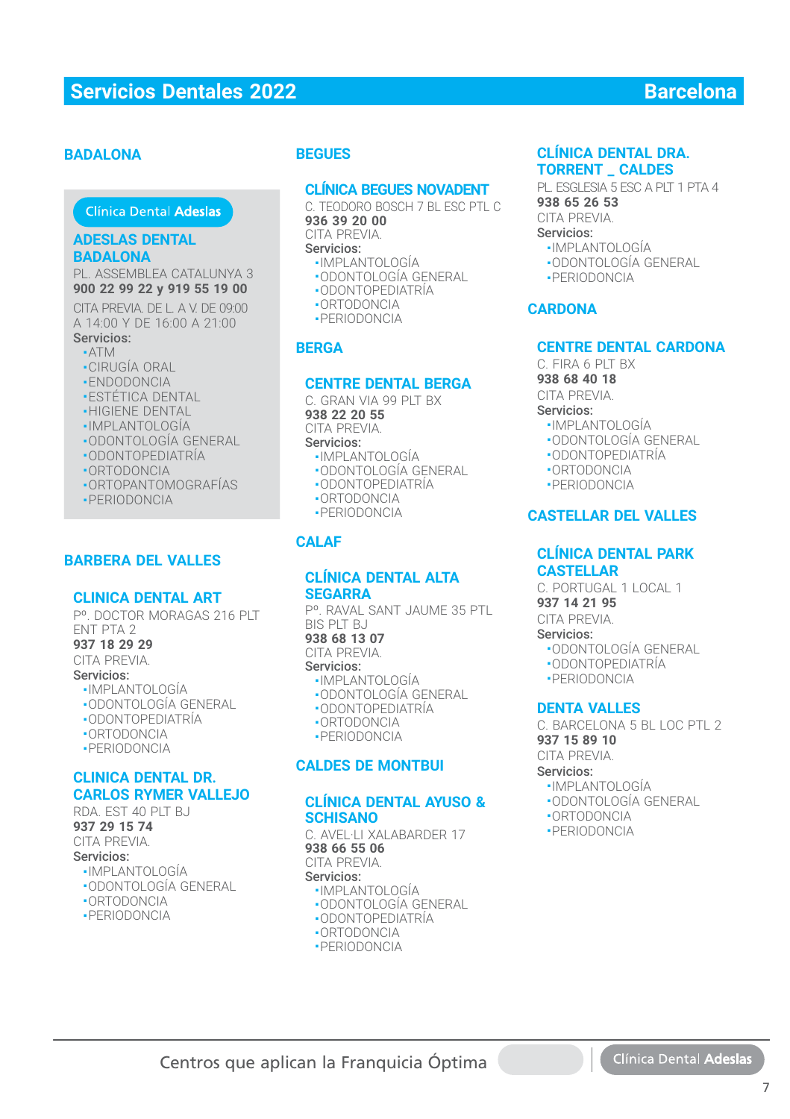#### **BADALONA**

### Clínica Dental Adeslas

#### **ADESLAS DENTAL BADALONA**

PL. ASSEMBLEA CATALUNYA 3 **900 22 99 22 y 919 55 19 00 900 22 99 22 y 919 55 19 00**

CITA PREVIA. DE L. A V. DE 09:00 A 14:00 Y DE 16:00 A 21:00 Servicios: Servicios:

- ATM ■
- CIRUGÍA ORAL
- ENDODONCIA
- **-ESTÉTICA DENTAL**
- HIGIENE DENTAL
- IMPLANTOLOGÍA IMPLANTOLOGÍA
- ODONTOLOGÍA GENERAL ■ODONTOLOGÍA GENERAL
- ODONTOPEDIATRÍA
- ORTODONCIA
- ORTOPANTOMOGRAFÍAS
- PERIODONCIA

#### **BARBERA DEL VALLES**

#### **CLINICA DENTAL ART**

Pº. DOCTOR MORAGAS 216 PLT ENT PTA 2

**937 18 29 29**

CITA PREVIA. Servicios:

- IMPLANTOLOGÍA
- ODONTOLOGÍA GENERAL
- ODONTOPEDIATRÍA
- ORTODONCIA
- PERIODONCIA

#### **CLINICA DENTAL DR. CARLOS RYMER VALLEJO**

RDA EST 40 PLT BJ **937 29 15 74** CITA PREVIA. Servicios:

- IMPLANTOLOGÍA
- ODONTOLOGÍA GENERAL
- ORTODONCIA
- PERIODONCIA

### **BEGUES**

#### **CLÍNICA BEGUES NOVADENT**

C. TEODORO BOSCH 7 BL ESC PTL C **936 39 20 00**

CITA PREVIA.

Servicios:

- IMPLANTOLOGÍA
- ODONTOLOGÍA GENERAL
- ODONTOPEDIATRÍA
- ORTODONCIA
- PERIODONCIA

#### **BERGA**

#### **CENTRE DENTAL BERGA**

C. GRAN VIA 99 PIT BX **938 22 20 55** CITA PREVIA. Servicios:

- IMPLANTOLOGÍA
- ODONTOLOGÍA GENERAL
- ODONTOPEDIATRÍA ■ ORTODONCIA
- PERIODONCIA
- 

### **CALAF**

#### **CLÍNICA DENTAL ALTA SEGARRA**

Pº. RAVAL SANT JAUME 35 PTL BIS PLT BJ **938 68 13 07**

CITA PREVIA.

- Servicios:
	- IMPLANTOLOGÍA
	- ODONTOLOGÍA GENERAL
	- ODONTOPEDIATRÍA
	- ORTODONCIA
	- PERIODONCIA

#### **CALDES DE MONTBUI**

#### **CLÍNICA DENTAL AYUSO & SCHISANO**

C. AVEL·LI XALABARDER 17 **938 66 55 06**

CITA PREVIA.

Servicios:

Centros que aplican la Franquicia Óptima

- IMPLANTOLOGÍA
- ODONTOLOGÍA GENERAL ■ ODONTOPEDIATRÍA
- ORTODONCIA
- PERIODONCIA

#### **CLÍNICA DENTAL DRA. TORRENT \_ CALDES**

PL. ESGLESIA 5 ESC A PLT 1 PTA 4 **938 65 26 53** CITA PREVIA. Servicios:

- IMPLANTOLOGÍA
- ODONTOLOGÍA GENERAL
- PERIODONCIA

#### **CARDONA**

#### **CENTRE DENTAL CARDONA**

C. FIRA 6 PLT BX

**938 68 40 18**

CITA PREVIA.

- Servicios: ■ IMPLANTOLOGÍA
	-
	- ODONTOLOGÍA GENERAL
	- ODONTOPEDIATRÍA
	- ORTODONCIA
	- PERIODONCIA

### **CASTELLAR DEL VALLES**

#### **CLÍNICA DENTAL PARK CASTELLAR**

C. PORTUGAL 1 LOCAL 1 **937 14 21 95**

CITA PREVIA. Servicios:

- 
- ODONTOLOGÍA GENERAL ■ ODONTOPEDIATRÍA
- PERIODONCIA

#### **DENTA VALLES**

C. BARCELONA 5 BL LOC PTL 2 **937 15 89 10**

CITA PREVIA.

#### Servicios:

■ IMPLANTOLOGÍA

■ PERIODONCIA

■ ODONTOLOGÍA GENERAL ■ ORTODONCIA

7

Clínica Dental Adesla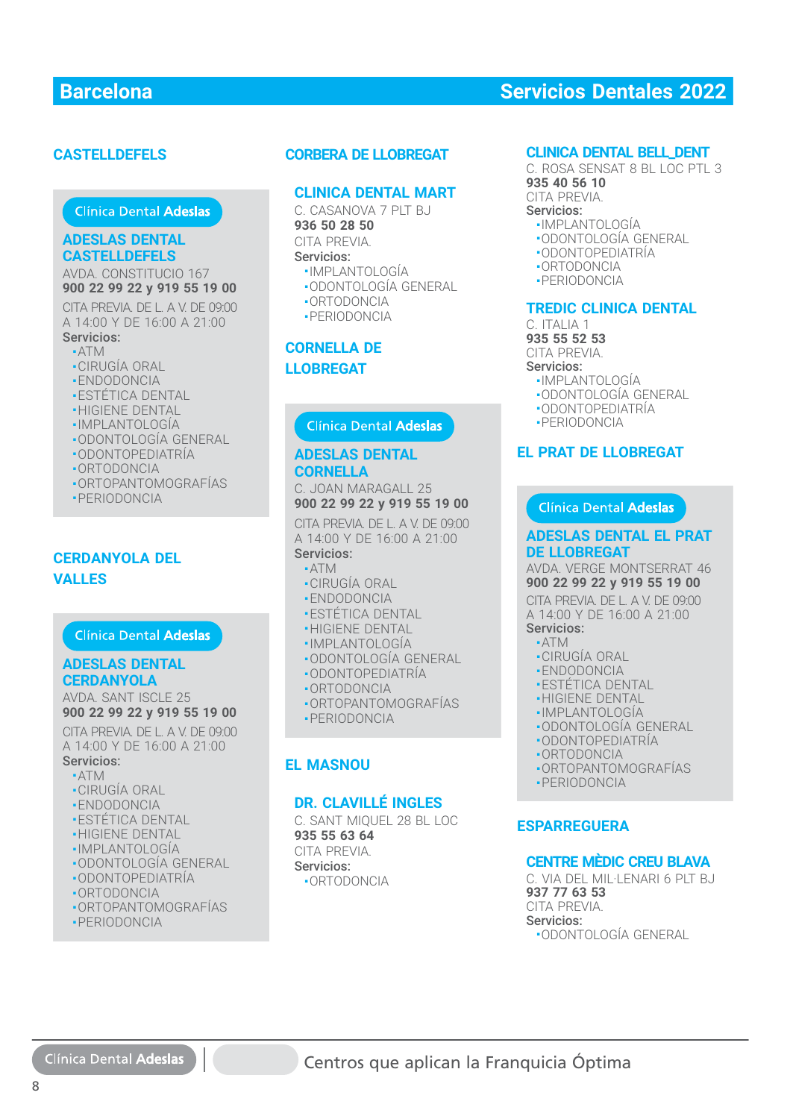# **CASTELLDEFELS**

#### **ADESLAS DENTAL CASTELLDEFELS**

AVDA. CONSTITUCIO 167 AVDA. CONSTITUCIO 167<br>**900 22 99 22 y 919 55 19 00**<br>CITA PREVIA. DE L. A V. DE 09:00

CITA PREVIA. DE L. A V. DE 09:00 A 14:00 Y DE 16:00 A 21:00 Servicios:

- ATM
- CIRUGÍA ORAL
- ENDODONCIA ■ENDODONCIA
- ESTÉTICA DENTAL
- HIGIENE DENTAL
- IMPLANTOLOGÍA
- ODONTOLOGÍA GENERAL ODONTOLOGÍA GENERAL
- ODONTOPEDIATRÍA ■ODONTOPEDIATRÍA
- ORTODONCIA
- ORTOPANTOMOGRAFÍAS
- PERIODONCIA

## **CERDANYOLA DEL VALLES**

#### **ADESLAS DENTAL ADESLAS DENTALCERDANYOLA**

AVDA. SANT ISCLE 25 **900 22 99 22 y 919 55 19 00**

CITA PREVIA. DE L. A V. DE 09:00 A 14:00 Y DE 16:00 A 21:00 Servicios: Servicios:

- ATM ■
- CIRUGÍA ORAL
- ENDODONCIA
- **-ESTÉTICA DENTAL**
- HIGIENE DENTAL ■HIGIENE DENTAL
- IMPLANTOLOGÍA ■
- ODONTOLOGÍA GENERAL
- ODONTOPEDIATRÍA
- ORTODONCIA
- ORTOPANTOMOGRAFÍAS
- PERIODONCIA

### **CLINICA DENTAL MART**

C. CASANOVA 7 PIT BJ **936 50 28 50** CITA PREVIA. Servicios:

- IMPLANTOLOGÍA
- ODONTOLOGÍA GENERAL
- ORTODONCIA
- PERIODONCIA

# **CORNELLA DE LLOBREGAT**

### **ADESLAS DENTAL CORNELLA**

C. JOAN MARAGALL 25 **900 22 99 22 y 919 55 19 00**

CITA PREVIA. DE L. A V. DE 09:00 CITA PREVIA. DE L. A V. DE 09:00<br>A 14:00 Y DE 16:00 A 21:00

### Servicios: Servicios:

- ATM ■■
- CIRUGÍA ORAL
- ENDODONCIA
- **-ESTÉTICA DENTAL**
- HIGIENE DENTAL
- IMPLANTOLOGÍA
- ODONTOLOGÍA GENERAL
- ODONTOPEDIATRÍA
- ORTODONCIA
- ORTOPANTOMOGRAFÍAS
- PERIODONCIA

### **EL MASNOU**

#### **DR. CLAVILLÉ INGLES**

■ORTOPANTOMOGRAFÍAS**CORBERA DE LLOBREGAT** C. SANT MIQUEL 28 BL LOC **935 55 63 64** CITA PREVIA. Servicios: ■ ORTODONCIA

#### **CLINICA DENTAL BELL\_DENT**

C. ROSA SENSAT 8 BL LOC PTL 3 **935 40 56 10** CITA PREVIA. Servicios:

- IMPLANTOLOGÍA
- ODONTOLOGÍA GENERAL
- ODONTOPEDIATRÍA
- ORTODONCIA
- PERIODONCIA

#### **TREDIC CLINICA DENTAL**

C. ITALIA 1 **935 55 52 53** CITA PREVIA. Servicios:

- IMPLANTOLOGÍA
- ODONTOLOGÍA GENERAL
- ODONTOPEDIATRÍA
- PERIODONCIA

#### **EL PRAT DE LLOBREGAT**

#### Clínica Dental Adeslas

#### **ADESLAS DENTAL EL PRAT DE LLOBREGAT**

AVDA. VERGE MONTSERRAT 46 **900 22 99 22 y 919 55 19 00**

CITA PREVIA. DE L. A V. DE 09:00 A 14:00 Y DE 16:00 A 21:00 Servicios:

# ■ ATM

- CIRUGÍA ORAL
- ENDODONCIA
- ESTÉTICA DENTAL
- HIGIENE DENTAL
- IMPLANTOLOGÍA
- ODONTOLOGÍA GENERAL
- ODONTOPEDIATRÍA
- ORTODONCIA
- ORTOPANTOMOGRAFÍAS
- PERIODONCIA
- 

### **ESPARREGUERA**

#### **CENTRE MÈDIC CREU BLAVA**

C. VIA DEL MIL·LENARI 6 PLT BJ **937 77 63 53** CITA PREVIA. Servicios: ■ ODONTOLOGÍA GENERAL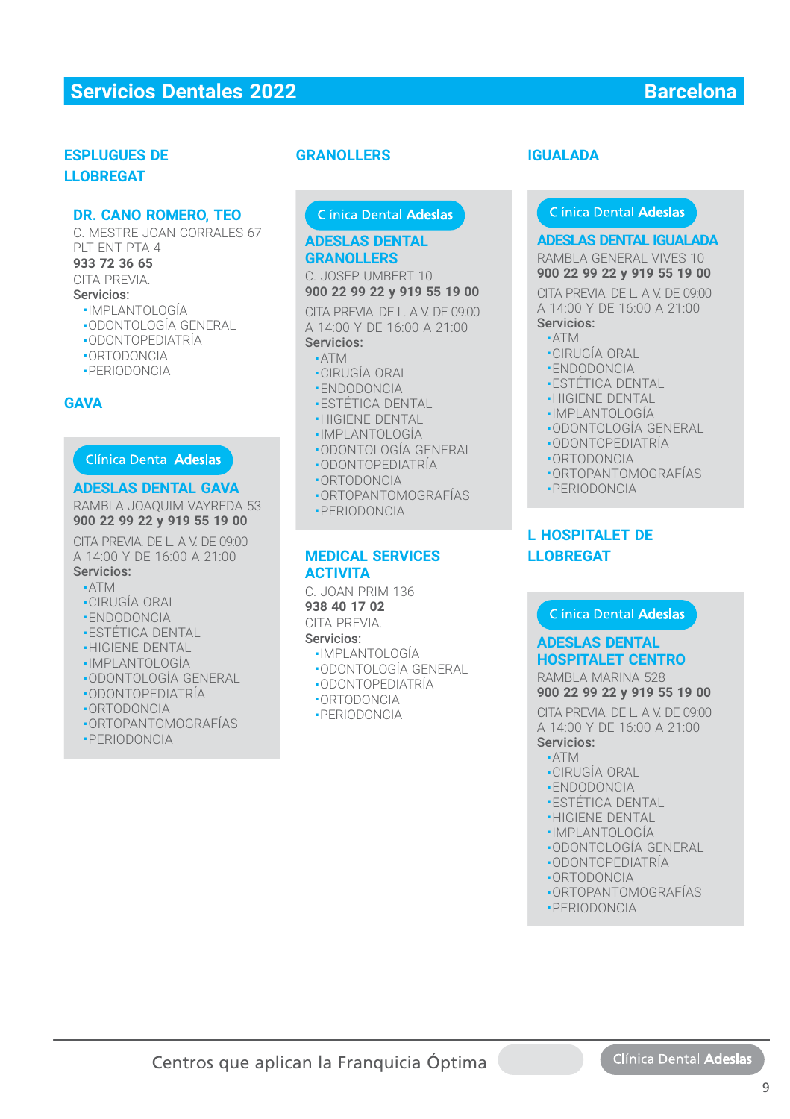### **ESPLUGUES DE LLOBREGAT**

#### **DR. CANO ROMERO, TEO**

C. MESTRE JOAN CORRALES 67 PLT ENT PTA 4 **933 72 36 65**

# CITA PREVIA.

# Servicios:

- 
- IMPLANTOLOGÍA
- ODONTOLOGÍA GENERAL ■ ODONTOPEDIATRÍA
- 
- ORTODONCIA
- PERIODONCIA

### **GAVA**

#### Clínica Dental Adeslas

#### **ADESLAS DENTAL GAVA**

RAMBLA JOAQUIM VAYREDA 53 **900 22 99 22 y 919 55 19 00**

CITA PREVIA. DE L. A V. DE 09:00 A 14:00 Y DE 16:00 A 21:00 Servicios:

- $\triangle$ TM
- CIRUGÍA ORAL
- ENDODONCIA
- ESTÉTICA DENTAL
- HIGIENE DENTAL
- IMPLANTOLOGÍA
- ODONTOLOGÍA GENERAL
- ODONTOPEDIATRÍA
- ORTODONCIA
- ORTOPANTOMOGRAFÍAS
- PERIODONCIA

#### **GRANOLLERS**

# Clínica Dental Adeslas

### **ADESLAS DENTAL GRANOLLERS**

C. JOSEP UMBERT 10 **900 22 99 22 y 919 55 19 00**

CITA PREVIA. DE L. A V. DE 09:00 A 14:00 Y DE 16:00 A 21:00 Servicios:

### ■ ATM

- •ATM<br>•CIRUGÍA ORAL
- ENDODONCIA ■ENDODONCIA
- ESTÉTICA DENTAL
- HIGIENE DENTAL<br>• HIGIENE DENTAL<br>• IMPI ANTOLOGÍA
- IMPLANTOLOGÍA
- ODONTOLOGÍA GENERAL
- ODONTOPEDIATRÍA
- ORTODONCIA
- ORTOPANTOMOGRAFÍAS ■■ORTOPANTOMOGRAFÍAS
- PERIODONCIA PERIODONCIA

#### **MEDICAL SERVICES ACTIVITA**

C. JOAN PRIM 136

**938 40 17 02** CITA PREVIA.

Servicios:

- IMPLANTOLOGÍA
- ODONTOLOGÍA GENERAL
- ODONTOPEDIATRÍA
- ORTODONCIA
- PERIODONCIA

## **IGUALADA**

#### Clínica Dental Adeslas

### **ADESLAS DENTAL IGUALADA ADESLAS DENTAL IGUALADA**

RAMBLA GENERAL VIVES 10

#### **900 22 99 22 y 919 55 19 00**

CITA PREVIA. DE L. A V. DE 09:00 A 14:00 Y DE 16:00 A 21:00 Servicios:

- $-ATM$
- CIRUGÍA ORAL  $\frac{1}{1}$
- ENDODONCIA
- ESTÉTICA DENTAL
- HIGIENE DENTAL
- IMPLANTOLOGÍA
- ODONTOLOGÍA GENERAL
- ODONTOPEDIATRÍA
- ORTODONCIA
- ORTOPANTOMOGRAFÍAS
- PERIODONCIA

# **L HOSPITALET DE LLOBREGAT**

#### Clínica Dental Adeslas

# **ADESLAS DENTAL ADESLAS DENTAL HOSPITALET CENTRO HOSPITALET CENTRO**

RAMBLA MARINA 528 RAMBLA MARINA 528 **900 22 99 22 y 919 55 19 00 900 22 99 22 y 919 55 19 00** CITA PREVIA. DE L. A V. DE 09:00 CITA PREVIA. DE L. A V. DE 09:00 A 14:00 Y DE 16:00 A 21:00 A 14:00 Y DE 16:00 A 21:00 Servicios: Servicios:

- ATM ATM
- CIRUGÍA ORAL CIRUGÍA ORAL
- ENDODONCIA ENDODONCIA
- ESTÉTICA DENTAL ESTÉTICA DENTAL
- HIGIENE DENTAL ■HIGIENE DENTAL
- IMPLANTOLOGÍA ■IMPLANTOLOGÍA
- ODONTOLOGÍA GENERAL ■ODONTOLOGÍA GENERAL
- ODONTOPEDIATRÍA ■ODONTOPEDIATRÍA
- ORTODONCIA ■ORTODONCIA
- ORTOPANTOMOGRAFÍAS ■ORTOPANTOMOGRAFÍAS
- PERIODONCIA ■PERIODONCIA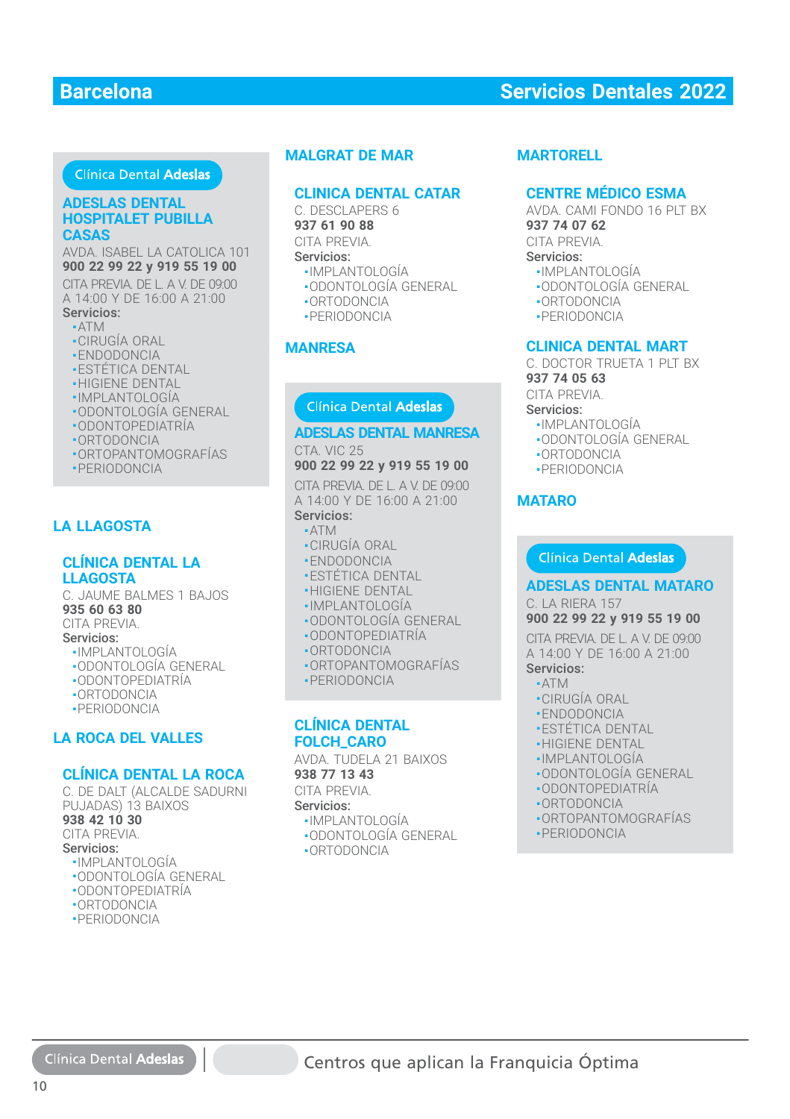### Clínica Dental Adeslas

#### **ADESLAS DENTAL HOSPITALET PUBILLA CASAS CASAS**

AVDA. ISABEL LA CATOLICA 101 **900 22 99 22 y 919 55 19 00 900 22 99 22 y 919 55 19 00**

CITA PREVIA. DE L. A V. DE 09:00 A 14:00 Y DE 16:00 A 21:00 A 14:00 Y DE 16:00 A 21:00

# Servicios:

- ATM ATM
- CIRUGÍA ORAL
- ENDODONCIA ENDODONCIA
- ESTÉTICA DENTAL
- HIGIENE DENTAL HIGIENE DENTAL
- IMPLANTOLOGÍA ■
- ODONTOLOGÍA GENERAL ODONTOLOGÍA GENERAL
- ODONTOPEDIATRÍA ■
- ORTODONCIA ORTODONCIA
- ORTOPANTOMOGRAFÍAS ■ORTOPANTOMOGRAFÍAS
- PERIODONCIA

# **LA LLAGOSTA**

#### **CLÍNICA DENTAL LA LLAGOSTA**

C. JAUME BALMES 1 BAJOS **935 60 63 80** CITA PREVIA. Servicios: ■ IMPLANTOLOGÍA ■ ODONTOLOGÍA GENERAL

- ODONTOPEDIATRÍA
- ORTODONCIA
- PERIODONCIA

## **LA ROCA DEL VALLES**

#### **CLÍNICA DENTAL LA ROCA**

C. DE DALT (ALCALDE SADURNI PUJADAS) 13 BAIXOS **938 42 10 30** CITA PREVIA. Servicios: ■ IMPLANTOLOGÍA ■ ODONTOLOGÍA GENERAL ■ ODONTOPEDIATRÍA ■ ORTODONCIA

■ PERIODONCIA

### **MALGRAT DE MAR**

#### **CLINICA DENTAL CATAR**

C. DESCLAPERS 6 **937 61 90 88** CITA PREVIA.

#### Servicios:

- IMPLANTOLOGÍA
- ODONTOLOGÍA GENERAL
- ORTODONCIA
- PERIODONCIA

#### **MANRESA**

# Clínica Dental Adeslas

# **ADESLAS DENTAL MANRESA**

CTA. VIC 25

# **900 22 99 22 y 919 55 19 00**

CITA PREVIA. DE L. A V. DE 09:00 A 14:00 Y DE 16:00 A 21:00 Servicios:

#### ■ ATM

- CIRUGÍA ORAL
- ENDODONCIA
- **-ESTÉTICA DENTAL**
- **-HIGIENE DENTAL**
- IMPLANTOLOGÍA
- ODONTOLOGÍA GENERAL
- ODONTOPEDIATRÍA
- ORTODONCIA
- ORTOPANTOMOGRAFÍAS
- PERIODONCIA

### **CLÍNICA DENTAL FOLCH\_CARO**

AVDA. TUDELA 21 BAIXOS **938 77 13 43**

CITA PREVIA.

#### Servicios:

- IMPLANTOLOGÍA
- ODONTOLOGÍA GENERAL
- ORTODONCIA

#### **MARTORELL**

#### **CENTRE MÉDICO ESMA**

AVDA, CAMI FONDO 16 PLT BX **937 74 07 62**

CITA PREVIA.

### Servicios:

- IMPLANTOLOGÍA
- ODONTOLOGÍA GENERAL
- ORTODONCIA
- PERIODONCIA

# **CLINICA DENTAL MART**

C. DOCTOR TRUETA 1 PLT BY **937 74 05 63**

# CITA PREVIA.

Servicios:

- 
- IMPLANTOLOGÍA ■ ODONTOLOGÍA GENERAL
- 
- ORTODONCIA
- PERIODONCIA

### **MATARO**

#### **Clínica Dental Adeslas**

#### **ADESLAS DENTAL MATARO**

C. LA RIERA 157 **900 22 99 22 y 919 55 19 00**

CITA PREVIA. DE L. A V. DE 09:00 A 14:00 Y DE 16:00 A 21:00

# Servicios:

#### ■ ATM

- CIRUGÍA ORAL
- ENDODONCIA
- •ENDODONCIA<br>•ESTÉTICA DENTAL<br>•HIGIENE DENTAL
- HIGIENE DENTAL
- IMPLANTOLOGÍA
- 
- ODONTOLOGÍA GENERAL
- ODONTOPEDIATRÍA ■■
- ORTODONCIA
- ORTOPANTOMOGRAFÍAS
- PERIODONCIA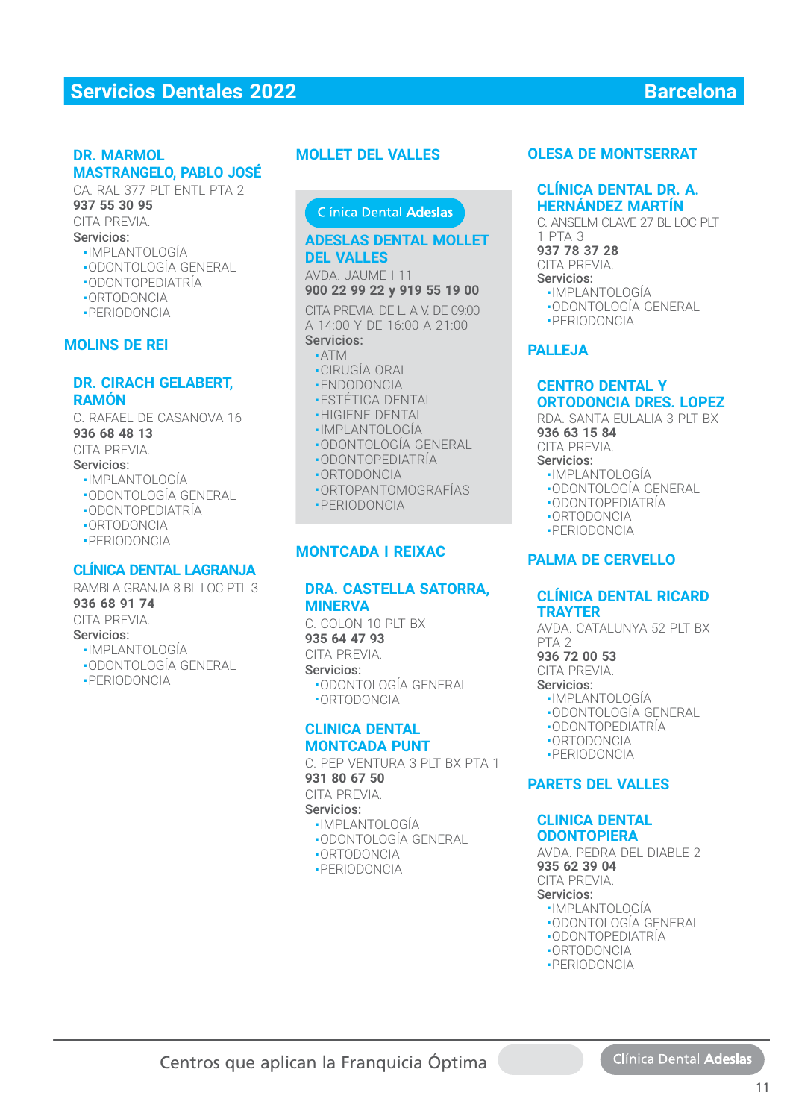#### **DR. MARMOL MASTRANGELO, PABLO JOSÉ**

CA. RAL 377 PIT ENTL PTA 2 **937 55 30 95** CITA PREVIA. Servicios:

# ■ IMPLANTOLOGÍA

- ODONTOLOGÍA GENERAL
- ODONTOPEDIATRÍA
- ORTODONCIA
- PERIODONCIA

#### **MOLINS DE REI**

#### **DR. CIRACH GELABERT, RAMÓN**

C. RAFAEL DE CASANOVA 16 **936 68 48 13**

CITA PREVIA.

#### Servicios:

- IMPLANTOLOGÍA
- ODONTOLOGÍA GENERAL
- ODONTOPEDIATRÍA
- ORTODONCIA
- PERIODONCIA

### **CLÍNICA DENTAL LAGRANJA**

RAMBLA GRANJA 8 BL LOC PTL 3 **936 68 91 74** CITA PREVIA. Servicios: ■ IMPLANTOLOGÍA ■ ODONTOLOGÍA GENERAL

■ PERIODONCIA

#### **MOLLET DEL VALLES**

## Clínica Dental Adeslas

#### **ADESLAS DENTAL MOLLET ADESLAS DENTAL MOLLET DEL VALLES DEL VALLES**

#### AVDA. JAUME I 11 **900 22 99 22 y 919 55 19 00**

CITA PREVIA. DE L. A V. DE 09:00 A 14:00 Y DE 16:00 A 21:00 Servicios:

- ATM ATM
- CIRUGÍA ORAL CIRUGÍA ORAL
- ENDODONCIA ENDODONCIA
- ESTÉTICA DENTAL ESTÉTICA DENTAL
- HIGIENE DENTAL HIGIENE DENTAL
- IMPLANTOLOGÍA ■IMPLANTOLOGÍA
- ODONTOLOGÍA GENERAL ■ODONTOLOGÍA GENERAL
- ODONTOPEDIATRÍA ■ODONTOPEDIATRÍA
- ORTODONCIA ■ORTODONCIA
- ORTOPANTOMOGRAFÍAS ■ORTOPANTOMOGRAFÍAS
- PERIODONCIA ■

#### **MONTCADA I REIXAC**

#### **DRA. CASTELLA SATORRA, MINERVA**

C. COLON 10 PIT BX **935 64 47 93** CITA PREVIA. Servicios: ■ ODONTOLOGÍA GENERAL ■ ORTODONCIA

#### **CLINICA DENTAL MONTCADA PUNT**

C. PFP VENTURA 3 PLT BX PTA 1 **931 80 67 50** CITA PREVIA. Servicios: ■ IMPLANTOLOGÍA

- ODONTOLOGÍA GENERAL
- ORTODONCIA
- 
- PERIODONCIA

### **OLESA DE MONTSERRAT**

#### **CLÍNICA DENTAL DR. A. HERNÁNDEZ MARTÍN**

C. ANSELM CLAVE 27 BL LOC PLT 1 PTA 3 **937 78 37 28** CITA PREVIA. Servicios: ■ IMPLANTOLOGÍA ■ ODONTOLOGÍA GENERAL

■ PERIODONCIA

#### **PALLEJA**

#### **CENTRO DENTAL Y ORTODONCIA DRES. LOPEZ**

RDA. SANTA FULALIA 3 PIT BX

- **936 63 15 84** CITA PREVIA.
- Servicios:
	- IMPLANTOLOGÍA
	- ODONTOLOGÍA GENERAL
	- ODONTOPEDIATRÍA
	- ORTODONCIA
	- PERIODONCIA
	-

### **PALMA DE CERVELLO**

#### **CLÍNICA DENTAL RICARD TRAYTER**

AVDA. CATALUNYA 52 PIT BX PTA<sub>2</sub>

**936 72 00 53**

CITA PREVIA. Servicios:

- IMPLANTOLOGÍA
- ODONTOLOGÍA GENERAL
- ODONTOPEDIATRÍA
- ORTODONCIA
- PERIODONCIA

#### **PARETS DEL VALLES**

#### **CLINICA DENTAL ODONTOPIERA**

AVDA. PEDRA DEL DIABLE 2 **935 62 39 04** CITA PREVIA.

# Servicios:

- IMPLANTOLOGÍA ■ ODONTOLOGÍA GENERAL
- ODONTOPEDIATRÍA
- ORTODONCIA
- PERIODONCIA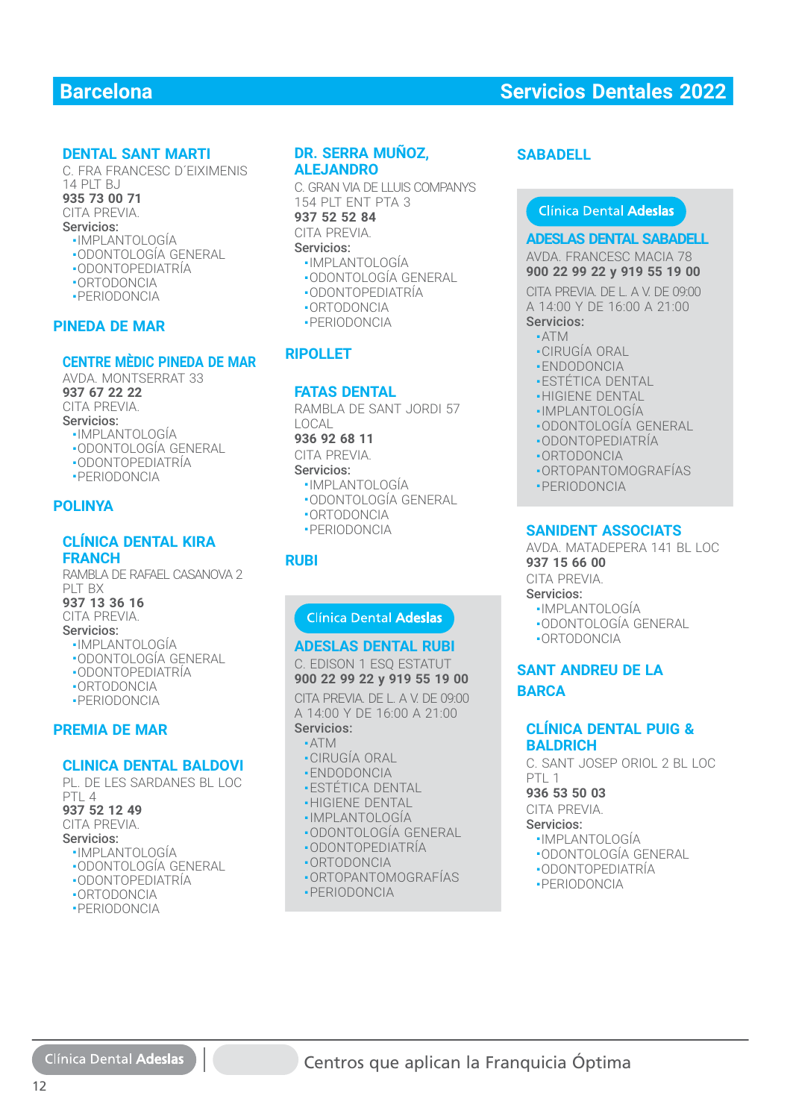### **DENTAL SANT MARTI**

C. FRA FRANCESC D´EIXIMENIS  $14$  PIT R I **935 73 00 71** CITA PREVIA. Servicios: ■ IMPLANTOLOGÍA

- ODONTOLOGÍA GENERAL
- ODONTOPEDIATRÍA
- ORTODONCIA
- PERIODONCIA
- 

#### **PINEDA DE MAR**

#### **CENTRE MÈDIC PINEDA DE MAR**

AVDA. MONTSERRAT 33 **937 67 22 22** CITA PREVIA. Servicios: ■ IMPLANTOLOGÍA ■ ODONTOLOGÍA GENERAL

- ODONTOPEDIATRÍA ■ PERIODONCIA
- 

### **POLINYA**

#### **CLÍNICA DENTAL KIRA FRANCH**

RAMBLA DE RAFAEL CASANOVA 2 PLT BX **937 13 36 16** CITA PREVIA. Servicios: ■ IMPLANTOLOGÍA ■ ODONTOLOGÍA GENERAL ■ ODONTOPEDIATRÍA ■ ORTODONCIA

- PERIODONCIA
- 

# **PREMIA DE MAR**

#### **CLINICA DENTAL BALDOVI**

PL. DE LES SARDANES BL LOC PTL 4 **937 52 12 49** CITA PREVIA. Servicios: ■ IMPLANTOLOGÍA ■ ODONTOLOGÍA GENERAL ■ ODONTOPEDIATRÍA

- ORTODONCIA
- PERIODONCIA

#### **DR. SERRA MUÑOZ, ALEJANDRO**

C. GRAN VIA DE LLUIS COMPANYS 154 PLT ENT PTA 3

# **937 52 52 84**

CITA PREVIA. Servicios:

- IMPLANTOLOGÍA
- ODONTOLOGÍA GENERAL
- ODONTOPEDIATRÍA
- ORTODONCIA
- PERIODONCIA

# **RIPOLLET**

#### **FATAS DENTAL**

RAMBLA DE SANT JORDI 57 LOCAL **936 92 68 11** CITA PREVIA. Servicios: **R. SERRA MUNOZ, SABADELL<br>
ERAN VADE LIUIS COMPANYS<br>
GRAN VADE LIUIS COMPANYS<br>
37 52 52 84<br>
PILI ENT PTA 3<br>
TA PREVIA.<br>
-IMPLANTOLOGÍA GENERAL<br>
-ODONTODORCIA GENERAL<br>
-ODONTOPEDIATRÍA<br>
-ODONTOPEDIATRÍA<br>
-CODONTOPEDIATRÍA<br>** 

- IMPLANTOLOGÍA
- ODONTOLOGÍA GENERAL
- ORTODONCIA
- PERIODONCIA

### **RUBI**

#### **ADESLAS DENTAL RUBI**

C. EDISON 1 ESQ ESTATUT **900 22 99 22 y 919 55 19 00**

CITA PREVIA DE L. A V. DE 09:00. A 14:00 Y DE 16:00 A 21:00 Servicios:

- ATM ■ CIRUGÍA ORAL
- ENDODONCIA
- **-ESTÉTICA DENTAL**
- **-HIGIENE DENTAL**
- IMPLANTOLOGÍA
- ODONTOLOGÍA GENERAL :<br>·IMPLANTOLOGÍA<br>·ODONTOLOGÍA GEN<br>·ODONTOPEDIATRÍA
- ODONTOPEDIATRÍA
- ORTODONCIA ■ORTODONCIA
- ORTOPANTOMOGRAFÍAS ■ORTOPANTOMOGRAFÍAS
- PERIODONCIA

#### **ADESLAS DENTAL SABADELL**

AVDA. FRANCESC MACIA 78 **900 22 99 22 y 919 55 19 00**

#### CITA PREVIA. DE L. A V. DE 09:00 CITA PREVIA. DE L. A V. DE 09:00A 14:00 Y DE 16:00 A 21:00

Servicios:

- ATM
- CIRUGÍA ORAL
- ENDODONCIA
- ESTÉTICA DENTAL
- HIGIENE DENTAL
- IMPLANTOLOGÍA
- ODONTOLOGÍA GENERAL
- ODONTOPEDIATRÍA
- ORTODONCIA
- ORTOPANTOMOGRAFÍAS ֦֧֦֧֦֧֦֧֦֧֦֧֦֧֦֧֦֧֦֧֦֧֦֧֦֧֪֦֧ׅ֧֚֚֚֚֚֡֝֝֬֜֓֞֓
- PERIODONCIA

#### **SANIDENT ASSOCIATS**

AVDA. MATADEPERA 141 BL LOC **937 15 66 00**

CITA PREVIA.

- Servicios:
- IMPLANTOLOGÍA
- ODONTOLOGÍA GENERAL
- ORTODONCIA

# **SANT ANDREU DE LA BARCA**

#### **CLÍNICA DENTAL PUIG & BALDRICH**

C. SANT JOSEP ORIOL 2 BL LOC PTL<sub>1</sub>

#### **936 53 50 03**

CITA PREVIA.

- Servicios:
- IMPLANTOLOGÍA
- ODONTOLOGÍA GENERAL
- ODONTOPEDIATRÍA
- PERIODONCIA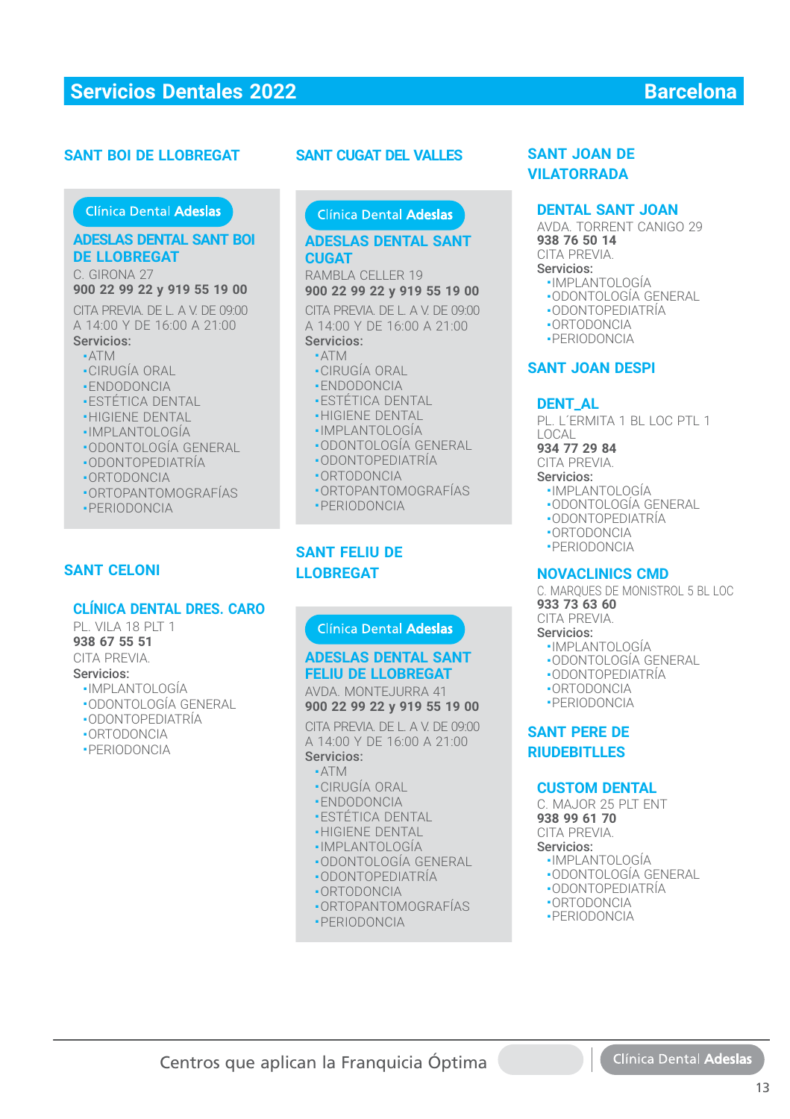#### **SANT BOI DE LLOBREGAT**

#### Clínica Dental Adeslas

#### **ADESLAS DENTAL SANT BOI DE LLOBREGAT DE LLOBREGAT**

C. GIRONA 27 C. GIRONA 27**900 22 99 22 y 919 55 19 00 900 22 99 22 y 919 55 19 00**

CITA PREVIA. DE L. A V. DE 09:00 CITA PREVIA. DE L. A V. DE 09:00<br>A 14:00 Y DE 16:00 A 21:00 Servicios: Servicios:

# ■ ATM ■ ATM

- CIRUGÍA ORAL CIRUGÍA ORAL
- ENDODONCIA
- **ENDODONOM**<br> **ESTÉTICA DENTAL**
- HIGIENE DENTAL
- IMPLANTOLOGÍA
- ODONTOLOGÍA GENERAL
- ODONTOPEDIATRIA
- ORTODONCIA ■ORTODONCIA
- ORTOPANTOMOGRAFÍAS ■ORTOPANTOMOGRAFÍAS
- PERIODONCIA ■PERIODONCIA

### **SANT CELONI**

#### **CLÍNICA DENTAL DRES. CARO**

PL. VILA 18 PLT 1 **938 67 55 51** CITA PREVIA. Servicios:

- IMPLANTOLOGÍA
- ODONTOLOGÍA GENERAL
- ODONTOPEDIATRÍA
- ORTODONCIA
- PERIODONCIA

#### **SANT CUGAT DEL VALLES**

#### **ADESLAS DENTAL SANT ADESLAS DENTAL SANT CUGAT CUGAT**

RAMBLA CELLER 19 RAMBLA CELLER 19**900 22 99 22 y 919 55 19 00 900 22 99 22 y 919 55 19 00**

CITA PREVIA. DE L. A V. DE 09:00 A 14:00 Y DE 16:00 A 21:00 Servicios: **NT CUGAT DEL VALLES<br>
SANT JOAN DE<br>
UILATORRADA<br>
DESLAS DENTAL SANT<br>
JOAN<br>
JOAN DESLAS DENTAL SANT<br>
1938 76 50 14<br>
JOAN DEL ER 19<br>
1970 22 99 22 y 919 55 19 00<br>
1022 99 22 y 919 55 19 00<br>
1020 2000 TOPONTOLOGÍA<br>
14:00 Y DE** 

- ATM
- CIRUGÍA ORAL
- ENDODONCIA
- ESTÉTICA DENTAL
- **HIGIENE DENTAL**
- IMPLANTOLOGÍA IMPLANTOLOGÍA
- ODONTOLOGÍA GENERAL ODONTOLOGÍA GENERAL
- ODONTOPEDIATRÍA ODONTOPEDIATRÍA
- ORTODONCIA ORTODONCIA
- ORTOPANTOMOGRAFÍAS ORTOPANTOMOGRAFÍAS
- PERIODONCIA PERIODONCIA

## **SANT FELIU DE LLOBREGAT**

#### **ADESLAS DENTAL SANT ADESLAS DENTAL SANT FELIU DE LLOBREGAT FELIU DE LLOBREGAT**

AVDA. MONTEJURRA 41 **900 22 99 22 y 919 55 19 00**

CITA PREVIA. DE L. A V. DE 09:00 CITA PREVIA. DE L. A V. DE 09:00<br>A 14:00 Y DE 16:00 A 21:00 Servicios: Servicios:

- $\blacksquare$  ATM
- CIRUGÍA ORAL CIRUGÍA ORAL
- ENDODONCIA ENDODONCIA
- ESTÉTICA DENTAL ESTÉTICA DENTAL
- HIGIENE DENTAL HIGIENE DENTAL
- IMPLANTOLOGÍA IMPLANTOLOGÍA
- ODONTOLOGÍA GENERAL ODONTOLOGÍA GENERAL
- ODONTOPEDIATRÍA ODONTOPEDIATRÍA
- ORTODONCIA ORTODONCIA
- ORTOPANTOMOGRAFÍAS ■ORTOPANTOMOGRAFÍAS
- PERIODONCIA

# **VILATORRADA**

#### **DENTAL SANT JOAN**

AVDA. TORRENT CANIGO 29 **938 76 50 14** CITA PREVIA. Servicios: ■ IMPLANTOLOGÍA

- ODONTOLOGÍA GENERAL
- ODONTOPEDIATRÍA
- ORTODONCIA
- PERIODONCIA

#### **SANT JOAN DESPI**

#### **DENT\_AL**

PL. L´ERMITA 1 BL LOC PTL 1 LOCAL

**934 77 29 84**

CITA PREVIA.

- Servicios:
- IMPLANTOLOGÍA
- ODONTOLOGÍA GENERAL
- ODONTOPEDIATRÍA
- ORTODONCIA
- PERIODONCIA

#### **NOVACLINICS CMD**

C. MARQUES DE MONISTROL 5 BL LOC **933 73 63 60** CITA PREVIA.

- Servicios:
	- IMPLANTOLOGÍA
	- ODONTOLOGÍA GENERAL
	- ODONTOPEDIATRÍA
	- ORTODONCIA
	- PERIODONCIA

**SANT PERE DE RIUDEBITLLES**

#### **CUSTOM DENTAL**

C. MAJOR 25 PIT FNT **938 99 61 70** CITA PREVIA.

#### Servicios:

- IMPLANTOLOGÍA
- ODONTOLOGÍA GENERAL
- ODONTOPEDIATRÍA
- ORTODONCIA
- PERIODONCIA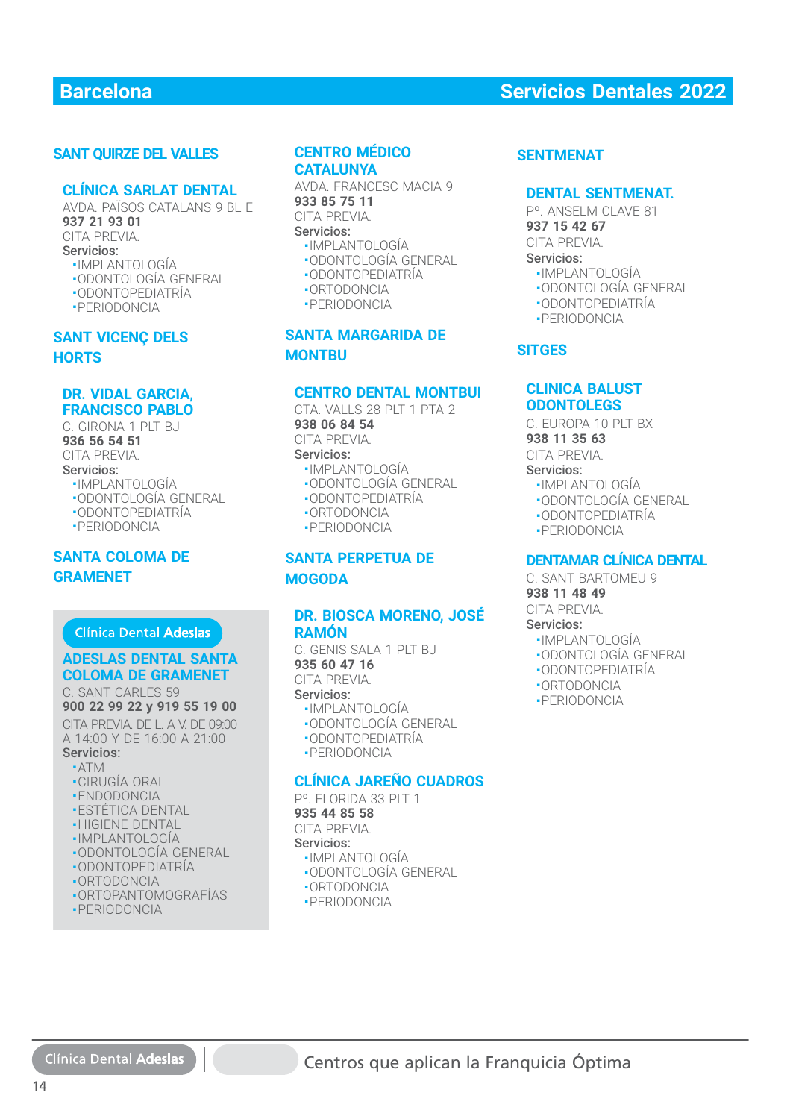### **SANT QUIRZE DEL VALLES**

#### **CLÍNICA SARLAT DENTAL**

AVDA. PAÏSOS CATALANS 9 BL E **937 21 93 01** CITA PREVIA. Servicios: ■ IMPLANTOLOGÍA ■ ODONTOLOGÍA GENERAL

- ODONTOPEDIATRÍA
- PERIODONCIA

### **SANT VICENÇ DELS HORTS**

### **DR. VIDAL GARCIA, FRANCISCO PABLO**

C. GIRONA 1 PLT BJ **936 56 54 51** CITA PREVIA. Servicios: ■ IMPLANTOLOGÍA

- ODONTOLOGÍA GENERAL ■ ODONTOPEDIATRÍA
- 
- PERIODONCIA

### **SANTA COLOMA DE GRAMENET**

#### Clínica Dental Adeslas

# **ADESLAS DENTAL SANTA ADESLAS DENTAL SANTA COLOMA DE GRAMENET COLOMA DE GRAMENET**

#### C. SANT CARLES 59 C. SANT CARLES 59**900 22 99 22 y 919 55 19 00 900 22 99 22 y 919 55 19 00**

CITA PREVIA. DE L. A V. DE 09:00 CITA PREVIA. DE L. A V. DE 09:00 A 14:00 Y DE 16:00 A 21:00 A 14:00 Y DE 16:00 A 21:00

#### Servicios: Servicios: ■ ATM ■ ATM

- CIRUGÍA ORAL CIRUGÍA ORAL
- ENDODONCIA ENDODONCIA
- ESTÉTICA DENTAL ESTÉTICA DENTAL
- •HIGIENE DENTĄL
- IMPLANTOLOGÍA IMPLANTOLOGÍA
- ODONTOLOGÍA GENERAL ODONTOLOGÍA GENERAL
- ODONTOPEDIATRÍA ODONTOPEDIATRÍA
- ORTODONCIA ORTODONCIA
- ORTOPANTOMOGRAFÍAS ORTOPANTOMOGRAFÍAS
- PERIODONCIA PERIODONCIA

#### **CENTRO MÉDICO CATALUNYA**

AVDA. FRANCESC MACIA 9 **933 85 75 11** CITA PREVIA. Servicios:

- IMPLANTOLOGÍA
- ODONTOLOGÍA GENERAL ■ ODONTOPEDIATRÍA
- 
- ORTODONCIA
- PERIODONCIA

# **SANTA MARGARIDA DE MONTBU**

### **CENTRO DENTAL MONTBUI**

CTA, VALLS 28 PIT 1 PTA 2 **938 06 84 54** CITA PREVIA. Servicios:

- IMPLANTOLOGÍA
- ODONTOLOGÍA GENERAL
- ODONTOPEDIATRÍA
- ORTODONCIA
- PERIODONCIA

### **SANTA PERPETUA DE MOGODA**

#### **DR. BIOSCA MORENO, JOSÉ RAMÓN**

C. GENIS SALA 1 PLT BJ **935 60 47 16** CITA PREVIA. Servicios:

■ IMPLANTOLOGÍA

- ODONTOLOGÍA GENERAL
- ODONTOPEDIATRÍA
- PERIODONCIA

#### **CLÍNICA JAREÑO CUADROS**

P°. FLORIDA 33 PLT 1 **935 44 85 58** CITA PREVIA. Servicios:

- IMPLANTOLOGÍA
- ODONTOLOGÍA GENERAL
- ORTODONCIA
- PERIODONCIA

# **Barcelona Servicios Dentales 2022**

#### **SENTMENAT**

#### **DENTAL SENTMENAT.**

Pº. ANSELM CLAVE 81 **937 15 42 67**

CITA PREVIA. Servicios:

- 
- IMPLANTOLOGÍA
- ODONTOLOGÍA GENERAL
- ODONTOPEDIATRÍA
- PERIODONCIA

#### **SITGES**

#### **CLINICA BALUST ODONTOLEGS**

C. EUROPA 10 PLT BX

**938 11 35 63**

CITA PREVIA.

- Servicios:
	- IMPLANTOLOGÍA
	- ODONTOLOGÍA GENERAL
	- ODONTOPEDIATRÍA
	- PERIODONCIA

## **DENTAMAR CLÍNICA DENTAL**

C. SANT BARTOMEU 9 **938 11 48 49**

CITA PREVIA.

- Servicios:
- IMPLANTOLOGÍA
- ODONTOLOGÍA GENERAL
- ODONTOPEDIATRÍA
- ORTODONCIA
- PERIODONCIA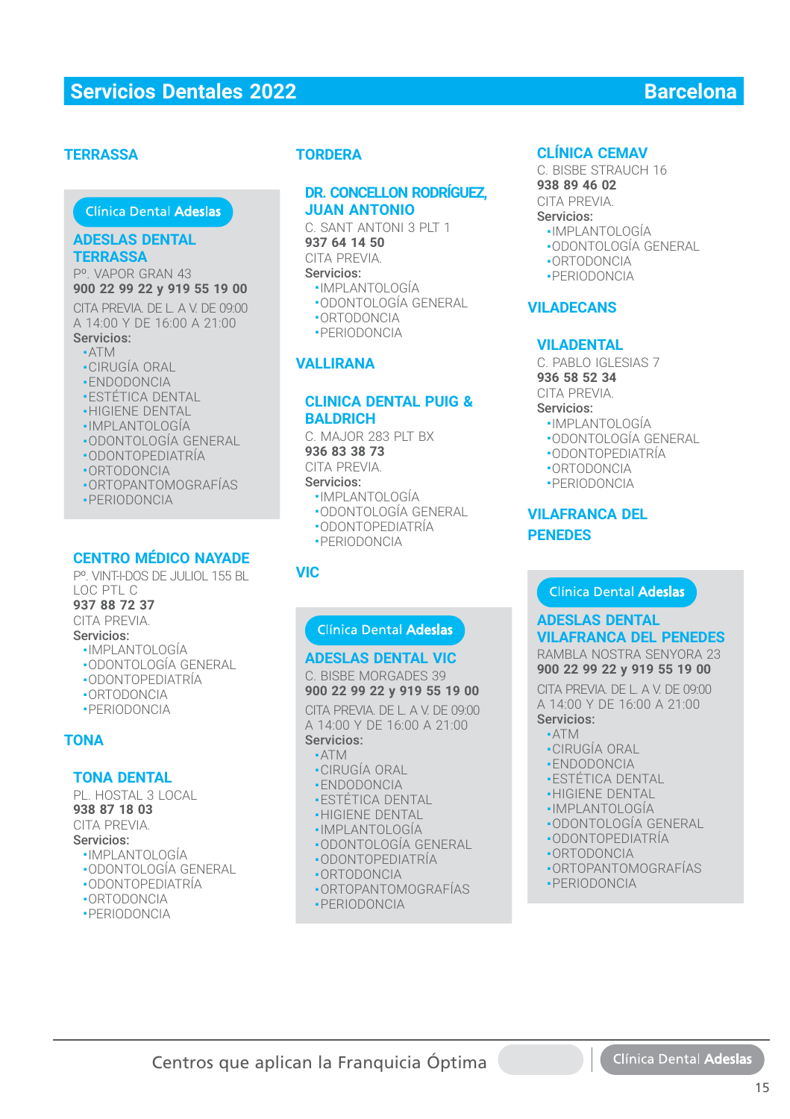### **TERRASSA**

### Clínica Dental Adeslas

#### **ADESLAS DENTAL TERRASSA**

Pº. VAPOR GRAN 43 **900 22 99 22 y 919 55 19 00 900 22 99 22 y 919 55 19 00**

CITA PREVIA. DE L. A V. DE 09:00 A 14:00 Y DE 16:00 A 21:00 Servicios: Servicios:

- ATM ■
- CIRUGÍA ORAL
- ENDODONCIA
- **-ESTÉTICA DENTAL**
- HIGIENE DENTAL
- IMPLANTOLOGÍA IMPLANTOLOGÍA
- ODONTOLOGÍA GENERAL ■ODONTOLOGÍA GENERAL
- ODONTOPEDIATRÍA
- ORTODONCIA
- ORTOPANTOMOGRAFÍAS
- PERIODONCIA

#### **CENTRO MÉDICO NAYADE**

Pº. VINT-I-DOS DE JULIOL 155 BL LOC PTL C

#### **937 88 72 37**

CITA PREVIA. Servicios:

### ■ IMPLANTOLOGÍA

- ODONTOLOGÍA GENERAL
- ODONTOPEDIATRÍA
- ORTODONCIA
- PERIODONCIA
- 

# **TONA**

#### **TONA DENTAL**

PL. HOSTAL 3 LOCAL **938 87 18 03** CITA PREVIA. Servicios: ■ IMPLANTOLOGÍA

- ODONTOLOGÍA GENERAL
- ODONTOPEDIATRÍA
- ORTODONCIA
- PERIODONCIA

### **TORDERA**

### **DR. CONCELLON RODRÍGUEZ, JUAN ANTONIO**

C. SANT ANTONI 3 PLT 1 **937 64 14 50** CITA PREVIA. Servicios: **READ CONTENTAL CONFIDENTIAL CONTENTAL CONFIDENTIAL**<br>
CREAD ANTONION SPLET 1<br>
SAME ANTONION SPLET AND CONFIDENT SPACE CONFIDENT ANTONION CONFIDENTIAL<br>
IMPLANTIAL CONFIDENCIAL<br>
CONFIDENTIAL CONFIDENCIAL<br>
CONFIDENTIAL CONFID

- IMPLANTOLOGÍA
- ODONTOLOGÍA GENERAL
- ORTODONCIA
- PERIODONCIA

#### **VALLIRANA**

#### **CLINICA DENTAL PUIG & BALDRICH**

C. MAJOR 283 PLT BX **936 83 38 73**

#### CITA PREVIA.

#### Servicios:

- IMPLANTOLOGÍA
- ODONTOLOGÍA GENERAL
- ODONTOPEDIATRÍA
- PERIODONCIA

#### **VIC**

#### **ADESLAS DENTAL VIC ADESLAS DENTAL VIC**

C. BISBE MORGADES 39 **900 22 99 22 y 919 55 19 00**

CITA PREVIA. DE L. A V. DE 09:00 CITA PREVIA. DE L. A V. DE 09:00<br>A 14:00 Y DE 16:00 A 21:00

### Servicios: Servicios:

- ATM ■ATM■ CIRUGÍA ORAL ■CIRUGÍA ORAL
- ENDODONCIA ■
- **ESTÉTICA DENTAL**
- **-HIGIENE DENTAL**
- IMPLANTOLOGÍA
- ODONTOLOGÍA GENERAL
- ODONTOPEDIATRÍA
- ORTODONCIA
- ORTOPANTOMOGRAFÍAS
- PERIODONCIA

C. BISBE STRAUCH 16 **938 89 46 02** CITA PREVIA. Servicios:

# ■ IMPLANTOLOGÍA

- ODONTOLOGÍA GENERAL
- ORTODONCIA
- PERIODONCIA

#### **VILADECANS**

#### **VILADENTAL**

C. PABLO IGLESIAS 7 **936 58 52 34**

CITA PREVIA.

#### Servicios:

- IMPLANTOLOGÍA
- ODONTOLOGÍA GENERAL
- ODONTOPEDIATRÍA
- ORTODONCIA
- PERIODONCIA

#### **VILAFRANCA DEL PENEDES**

#### **ADESLAS DENTAL VILAFRANCA DEL PENEDES**

RAMBLA NOSTRA SENYORA 23 **900 22 99 22 y 919 55 19 00**

CITA PREVIA. DE L. A V. DE 09:00 A 14:00 Y DE 16:00 A 21:00 Servicios:

# ■ ATM ATM

- CIRUGÍA ORAL ■CIRUGÍA ORAL
- •ENDODONCIA
- ESTÉTICA DENTAL
- **-HIGIENE DENTAL**
- IMPLANTOLOGÍA
- ODONTOLOGÍA GENERAL
- ODONTOPEDIATRÍA
- ORTODONCIA
- ORTOPANTOMOGRAFÍAS
- PERIODONCIA

15